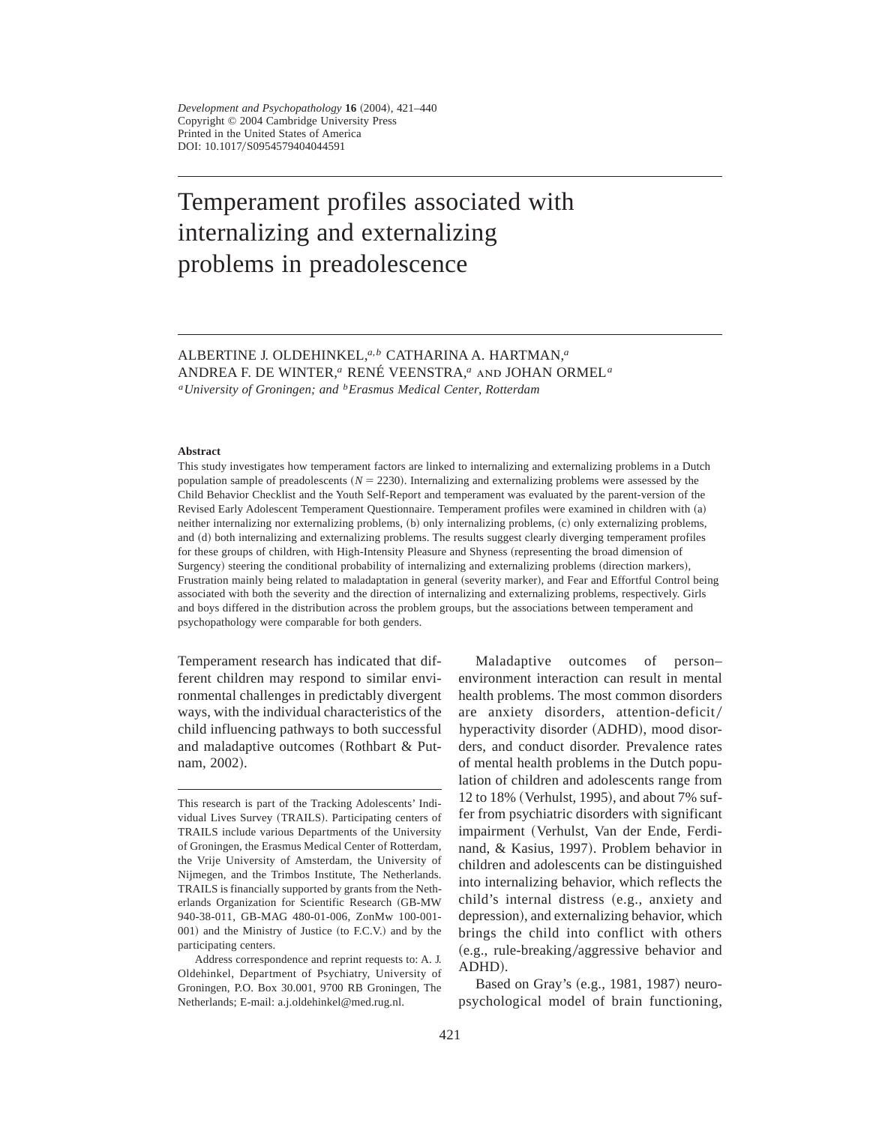# Temperament profiles associated with internalizing and externalizing problems in preadolescence

ALBERTINE J. OLDEHINKEL,*a*,*<sup>b</sup>* CATHARINA A. HARTMAN,*<sup>a</sup>* ANDREA F. DE WINTER,*<sup>a</sup>* RENÉ VEENSTRA,*<sup>a</sup>* and JOHAN ORMEL*<sup>a</sup> aUniversity of Groningen; and bErasmus Medical Center, Rotterdam*

#### **Abstract**

This study investigates how temperament factors are linked to internalizing and externalizing problems in a Dutch population sample of preadolescents  $(N = 2230)$ . Internalizing and externalizing problems were assessed by the Child Behavior Checklist and the Youth Self-Report and temperament was evaluated by the parent-version of the Revised Early Adolescent Temperament Questionnaire. Temperament profiles were examined in children with (a) neither internalizing nor externalizing problems, (b) only internalizing problems, (c) only externalizing problems, and (d) both internalizing and externalizing problems. The results suggest clearly diverging temperament profiles for these groups of children, with High-Intensity Pleasure and Shyness (representing the broad dimension of Surgency) steering the conditional probability of internalizing and externalizing problems (direction markers), Frustration mainly being related to maladaptation in general (severity marker), and Fear and Effortful Control being associated with both the severity and the direction of internalizing and externalizing problems, respectively. Girls and boys differed in the distribution across the problem groups, but the associations between temperament and psychopathology were comparable for both genders.

Temperament research has indicated that different children may respond to similar environmental challenges in predictably divergent ways, with the individual characteristics of the child influencing pathways to both successful and maladaptive outcomes (Rothbart  $&$  Putnam, 2002).

Maladaptive outcomes of person– environment interaction can result in mental health problems. The most common disorders are anxiety disorders, attention-deficit/ hyperactivity disorder (ADHD), mood disorders, and conduct disorder. Prevalence rates of mental health problems in the Dutch population of children and adolescents range from 12 to 18% (Verhulst, 1995), and about 7% suffer from psychiatric disorders with significant impairment (Verhulst, Van der Ende, Ferdinand,  $& Kasius, 1997$ . Problem behavior in children and adolescents can be distinguished into internalizing behavior, which reflects the child's internal distress (e.g., anxiety and depression), and externalizing behavior, which brings the child into conflict with others (e.g., rule-breaking/aggressive behavior and ADHD).

Based on Gray's (e.g., 1981, 1987) neuropsychological model of brain functioning,

This research is part of the Tracking Adolescents' Individual Lives Survey (TRAILS). Participating centers of TRAILS include various Departments of the University of Groningen, the Erasmus Medical Center of Rotterdam, the Vrije University of Amsterdam, the University of Nijmegen, and the Trimbos Institute, The Netherlands. TRAILS is financially supported by grants from the Netherlands Organization for Scientific Research (GB-MW 940-38-011, GB-MAG 480-01-006, ZonMw 100-001-  $001$ ) and the Ministry of Justice (to F.C.V.) and by the participating centers.

Address correspondence and reprint requests to: A. J. Oldehinkel, Department of Psychiatry, University of Groningen, P.O. Box 30.001, 9700 RB Groningen, The Netherlands; E-mail: a.j.oldehinkel@med.rug.nl.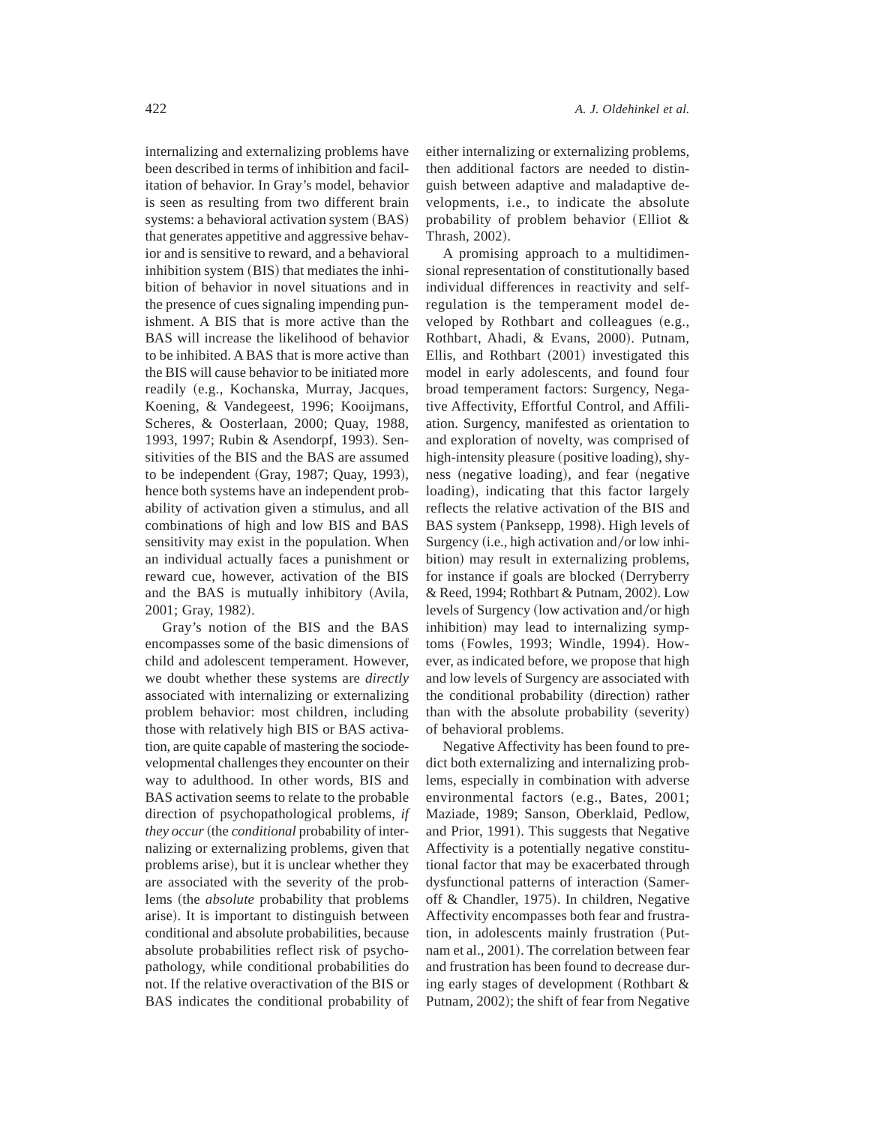internalizing and externalizing problems have been described in terms of inhibition and facilitation of behavior. In Gray's model, behavior is seen as resulting from two different brain systems: a behavioral activation system (BAS) that generates appetitive and aggressive behavior and is sensitive to reward, and a behavioral  $i$ nhibition system  $(BIS)$  that mediates the inhibition of behavior in novel situations and in the presence of cues signaling impending punishment. A BIS that is more active than the BAS will increase the likelihood of behavior to be inhibited. A BAS that is more active than the BIS will cause behavior to be initiated more readily (e.g., Kochanska, Murray, Jacques, Koening, & Vandegeest, 1996; Kooijmans, Scheres, & Oosterlaan, 2000; Quay, 1988, 1993, 1997; Rubin & Asendorpf, 1993). Sensitivities of the BIS and the BAS are assumed to be independent (Gray, 1987; Quay, 1993), hence both systems have an independent probability of activation given a stimulus, and all combinations of high and low BIS and BAS sensitivity may exist in the population. When an individual actually faces a punishment or reward cue, however, activation of the BIS and the BAS is mutually inhibitory (Avila, 2001; Gray, 1982).

Gray's notion of the BIS and the BAS encompasses some of the basic dimensions of child and adolescent temperament. However, we doubt whether these systems are *directly* associated with internalizing or externalizing problem behavior: most children, including those with relatively high BIS or BAS activation, are quite capable of mastering the sociodevelopmental challenges they encounter on their way to adulthood. In other words, BIS and BAS activation seems to relate to the probable direction of psychopathological problems*, if they occur* (the *conditional* probability of internalizing or externalizing problems, given that problems arise), but it is unclear whether they are associated with the severity of the problems (the *absolute* probability that problems arise). It is important to distinguish between conditional and absolute probabilities, because absolute probabilities reflect risk of psychopathology, while conditional probabilities do not. If the relative overactivation of the BIS or BAS indicates the conditional probability of

either internalizing or externalizing problems, then additional factors are needed to distinguish between adaptive and maladaptive developments, i.e., to indicate the absolute probability of problem behavior (Elliot  $&$ Thrash, 2002).

A promising approach to a multidimensional representation of constitutionally based individual differences in reactivity and selfregulation is the temperament model developed by Rothbart and colleagues (e.g., Rothbart, Ahadi, & Evans, 2000). Putnam, Ellis, and Rothbart (2001) investigated this model in early adolescents, and found four broad temperament factors: Surgency, Negative Affectivity, Effortful Control, and Affiliation. Surgency, manifested as orientation to and exploration of novelty, was comprised of high-intensity pleasure (positive loading), shyness (negative loading), and fear (negative loading), indicating that this factor largely reflects the relative activation of the BIS and BAS system (Panksepp, 1998). High levels of Surgency (i.e., high activation and/or low inhibition) may result in externalizing problems, for instance if goals are blocked (Derryberry & Reed, 1994; Rothbart & Putnam, 2002). Low levels of Surgency (low activation and/or high inhibition) may lead to internalizing symptoms (Fowles, 1993; Windle, 1994). However, as indicated before, we propose that high and low levels of Surgency are associated with the conditional probability (direction) rather than with the absolute probability (severity) of behavioral problems.

Negative Affectivity has been found to predict both externalizing and internalizing problems, especially in combination with adverse environmental factors (e.g., Bates, 2001; Maziade, 1989; Sanson, Oberklaid, Pedlow, and Prior, 1991). This suggests that Negative Affectivity is a potentially negative constitutional factor that may be exacerbated through dysfunctional patterns of interaction (Sameroff & Chandler, 1975). In children, Negative Affectivity encompasses both fear and frustration, in adolescents mainly frustration (Putnam et al., 2001). The correlation between fear and frustration has been found to decrease during early stages of development (Rothbart  $&$ Putnam, 2002); the shift of fear from Negative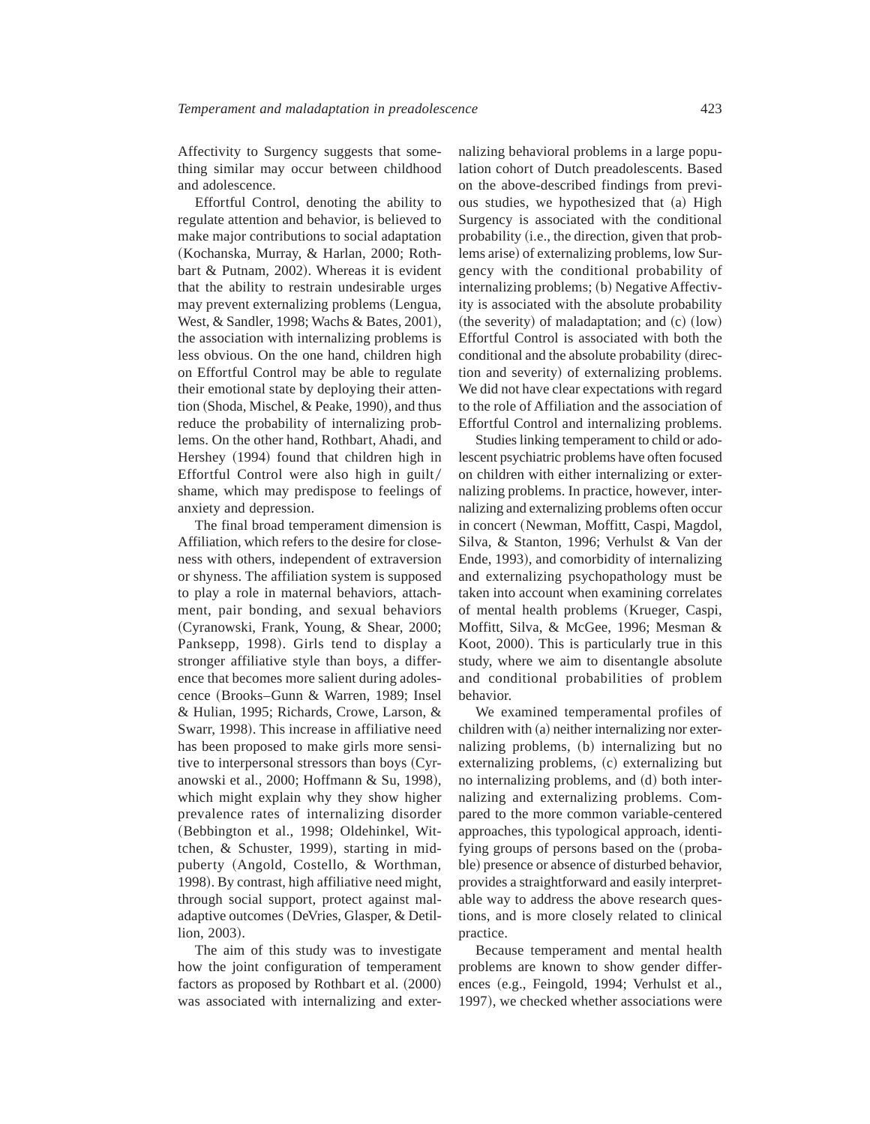Affectivity to Surgency suggests that something similar may occur between childhood and adolescence.

Effortful Control, denoting the ability to regulate attention and behavior, is believed to make major contributions to social adaptation (Kochanska, Murray, & Harlan, 2000; Rothbart  $&$  Putnam, 2002). Whereas it is evident that the ability to restrain undesirable urges may prevent externalizing problems (Lengua, West, & Sandler, 1998; Wachs & Bates, 2001), the association with internalizing problems is less obvious. On the one hand, children high on Effortful Control may be able to regulate their emotional state by deploying their attention (Shoda, Mischel, & Peake, 1990), and thus reduce the probability of internalizing problems. On the other hand, Rothbart, Ahadi, and Hershey (1994) found that children high in Effortful Control were also high in guilt/ shame, which may predispose to feelings of anxiety and depression.

The final broad temperament dimension is Affiliation, which refers to the desire for closeness with others, independent of extraversion or shyness. The affiliation system is supposed to play a role in maternal behaviors, attachment, pair bonding, and sexual behaviors ~Cyranowski, Frank, Young, & Shear, 2000; Panksepp, 1998). Girls tend to display a stronger affiliative style than boys, a difference that becomes more salient during adolescence (Brooks–Gunn & Warren, 1989; Insel & Hulian, 1995; Richards, Crowe, Larson, & Swarr, 1998). This increase in affiliative need has been proposed to make girls more sensitive to interpersonal stressors than boys  $(Cyr$ anowski et al., 2000; Hoffmann & Su, 1998), which might explain why they show higher prevalence rates of internalizing disorder (Bebbington et al., 1998; Oldehinkel, Wittchen,  $&$  Schuster, 1999), starting in midpuberty (Angold, Costello, & Worthman, 1998). By contrast, high affiliative need might, through social support, protect against maladaptive outcomes (DeVries, Glasper,  $\&$  Detil- $\frac{1}{1001}$ , 2003).

The aim of this study was to investigate how the joint configuration of temperament factors as proposed by Rothbart et al.  $(2000)$ was associated with internalizing and exter-

nalizing behavioral problems in a large population cohort of Dutch preadolescents. Based on the above-described findings from previous studies, we hypothesized that (a) High Surgency is associated with the conditional probability (i.e., the direction, given that problems arise) of externalizing problems, low Surgency with the conditional probability of internalizing problems; (b) Negative Affectivity is associated with the absolute probability (the severity) of maladaptation; and  $(c)$  (low) Effortful Control is associated with both the conditional and the absolute probability (direction and severity) of externalizing problems. We did not have clear expectations with regard to the role of Affiliation and the association of Effortful Control and internalizing problems.

Studies linking temperament to child or adolescent psychiatric problems have often focused on children with either internalizing or externalizing problems. In practice, however, internalizing and externalizing problems often occur in concert (Newman, Moffitt, Caspi, Magdol, Silva, & Stanton, 1996; Verhulst & Van der Ende, 1993), and comorbidity of internalizing and externalizing psychopathology must be taken into account when examining correlates of mental health problems (Krueger, Caspi, Moffitt, Silva, & McGee, 1996; Mesman & Koot, 2000). This is particularly true in this study, where we aim to disentangle absolute and conditional probabilities of problem behavior.

We examined temperamental profiles of children with  $(a)$  neither internalizing nor externalizing problems, (b) internalizing but no externalizing problems, (c) externalizing but no internalizing problems, and  $(d)$  both internalizing and externalizing problems. Compared to the more common variable-centered approaches, this typological approach, identifying groups of persons based on the (probable) presence or absence of disturbed behavior, provides a straightforward and easily interpretable way to address the above research questions, and is more closely related to clinical practice.

Because temperament and mental health problems are known to show gender differences (e.g., Feingold, 1994; Verhulst et al., 1997), we checked whether associations were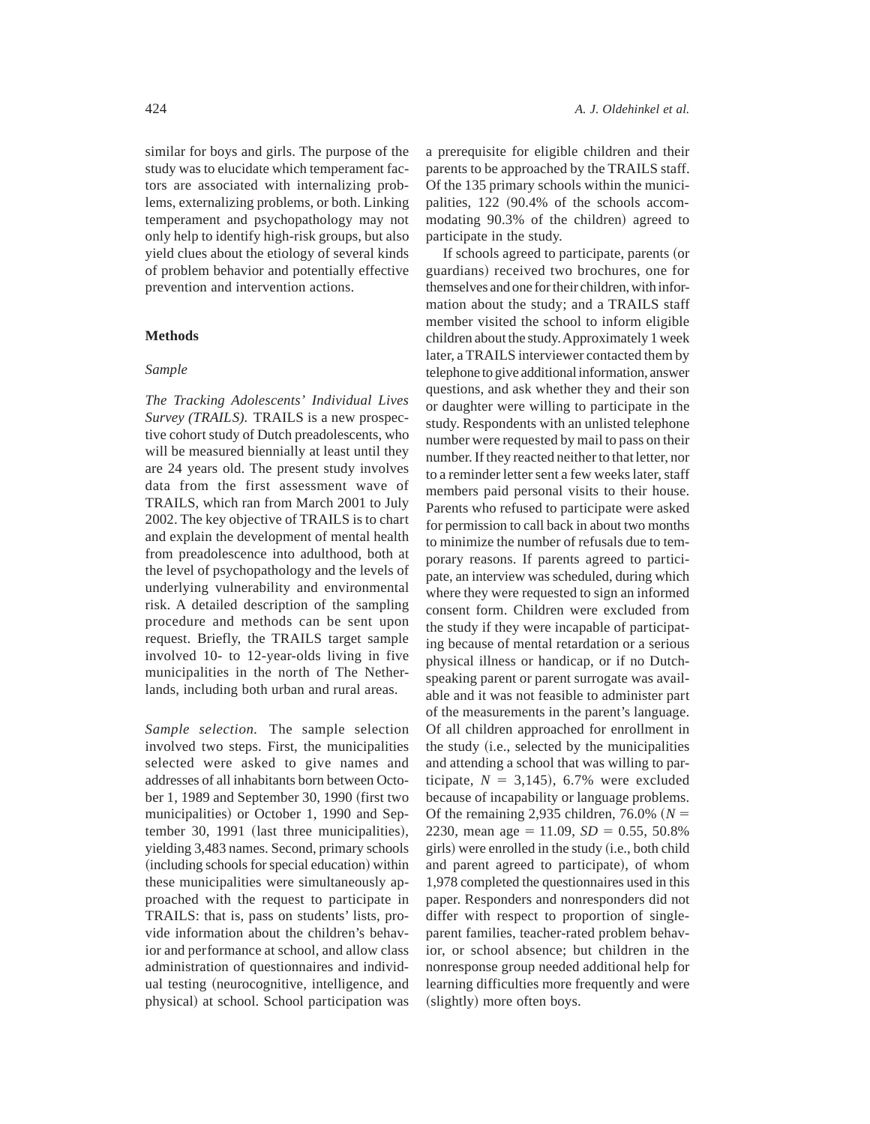similar for boys and girls. The purpose of the study was to elucidate which temperament factors are associated with internalizing problems, externalizing problems, or both. Linking temperament and psychopathology may not only help to identify high-risk groups, but also yield clues about the etiology of several kinds of problem behavior and potentially effective prevention and intervention actions.

### **Methods**

#### *Sample*

*The Tracking Adolescents' Individual Lives Survey (TRAILS).* TRAILS is a new prospective cohort study of Dutch preadolescents, who will be measured biennially at least until they are 24 years old. The present study involves data from the first assessment wave of TRAILS, which ran from March 2001 to July 2002. The key objective of TRAILS is to chart and explain the development of mental health from preadolescence into adulthood, both at the level of psychopathology and the levels of underlying vulnerability and environmental risk. A detailed description of the sampling procedure and methods can be sent upon request. Briefly, the TRAILS target sample involved 10- to 12-year-olds living in five municipalities in the north of The Netherlands, including both urban and rural areas.

*Sample selection.* The sample selection involved two steps. First, the municipalities selected were asked to give names and addresses of all inhabitants born between October 1, 1989 and September 30, 1990 (first two municipalities) or October 1, 1990 and September 30, 1991 (last three municipalities), yielding 3,483 names. Second, primary schools  $(including schools for special education) within$ these municipalities were simultaneously approached with the request to participate in TRAILS: that is, pass on students' lists, provide information about the children's behavior and performance at school, and allow class administration of questionnaires and individual testing (neurocognitive, intelligence, and physical) at school. School participation was

a prerequisite for eligible children and their parents to be approached by the TRAILS staff. Of the 135 primary schools within the municipalities,  $122$  (90.4% of the schools accommodating 90.3% of the children) agreed to participate in the study.

If schools agreed to participate, parents (or guardians) received two brochures, one for themselves and one for their children, with information about the study; and a TRAILS staff member visited the school to inform eligible children about the study.Approximately 1 week later, a TRAILS interviewer contacted them by telephone to give additional information, answer questions, and ask whether they and their son or daughter were willing to participate in the study. Respondents with an unlisted telephone number were requested by mail to pass on their number. If they reacted neither to that letter, nor to a reminder letter sent a few weeks later, staff members paid personal visits to their house. Parents who refused to participate were asked for permission to call back in about two months to minimize the number of refusals due to temporary reasons. If parents agreed to participate, an interview was scheduled, during which where they were requested to sign an informed consent form. Children were excluded from the study if they were incapable of participating because of mental retardation or a serious physical illness or handicap, or if no Dutchspeaking parent or parent surrogate was available and it was not feasible to administer part of the measurements in the parent's language. Of all children approached for enrollment in the study (i.e., selected by the municipalities and attending a school that was willing to participate,  $N = 3,145$ , 6.7% were excluded because of incapability or language problems. Of the remaining 2,935 children,  $76.0\%$  ( $N =$ 2230, mean age =  $11.09$ , *SD* = 0.55, 50.8% girls) were enrolled in the study (i.e., both child and parent agreed to participate), of whom 1,978 completed the questionnaires used in this paper. Responders and nonresponders did not differ with respect to proportion of singleparent families, teacher-rated problem behavior, or school absence; but children in the nonresponse group needed additional help for learning difficulties more frequently and were (slightly) more often boys.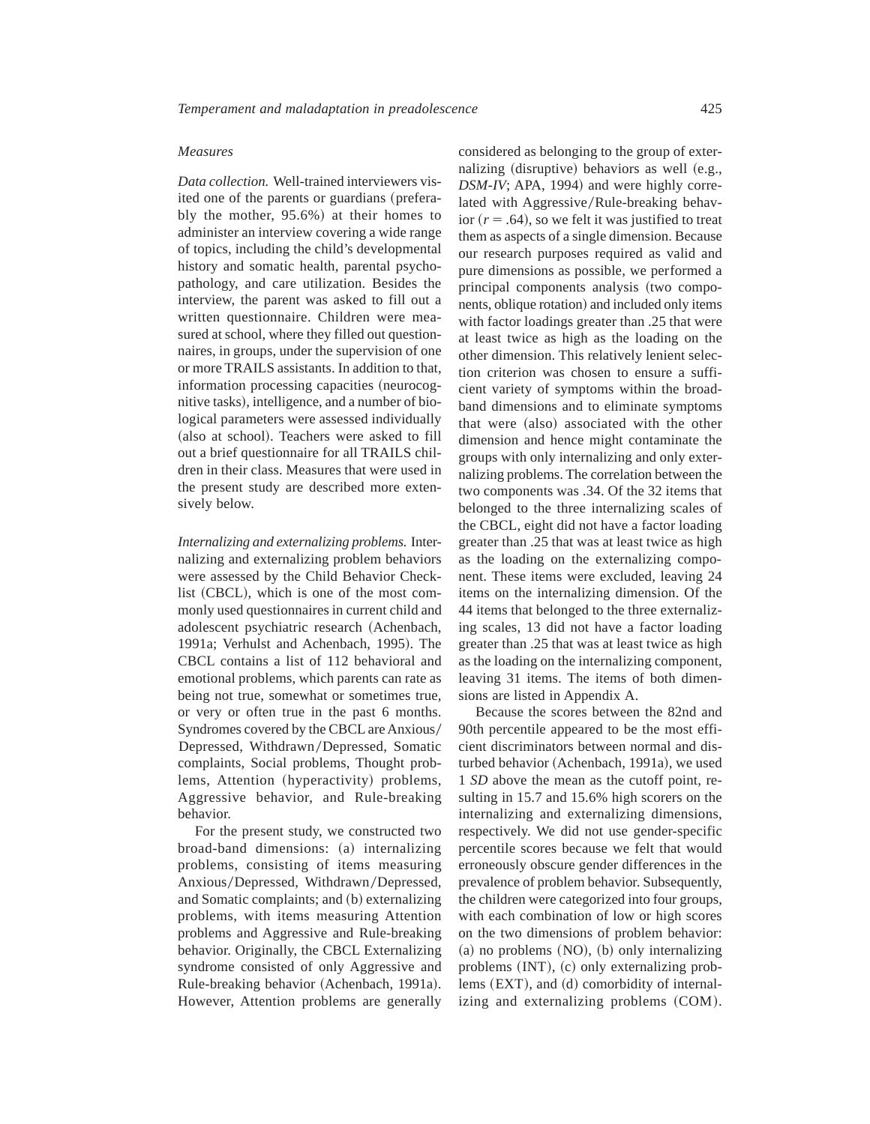#### *Measures*

*Data collection.* Well-trained interviewers visited one of the parents or guardians (preferably the mother,  $95.6\%$ ) at their homes to administer an interview covering a wide range of topics, including the child's developmental history and somatic health, parental psychopathology, and care utilization. Besides the interview, the parent was asked to fill out a written questionnaire. Children were measured at school, where they filled out questionnaires, in groups, under the supervision of one or more TRAILS assistants. In addition to that, information processing capacities (neurocognitive tasks), intelligence, and a number of biological parameters were assessed individually (also at school). Teachers were asked to fill out a brief questionnaire for all TRAILS children in their class. Measures that were used in the present study are described more extensively below.

*Internalizing and externalizing problems.* Internalizing and externalizing problem behaviors were assessed by the Child Behavior Checklist (CBCL), which is one of the most commonly used questionnaires in current child and adolescent psychiatric research (Achenbach, 1991a; Verhulst and Achenbach, 1995). The CBCL contains a list of 112 behavioral and emotional problems, which parents can rate as being not true, somewhat or sometimes true, or very or often true in the past 6 months. Syndromes covered by the CBCL are Anxious/ Depressed, Withdrawn/Depressed, Somatic complaints, Social problems, Thought problems, Attention (hyperactivity) problems, Aggressive behavior, and Rule-breaking behavior.

For the present study, we constructed two broad-band dimensions: (a) internalizing problems, consisting of items measuring Anxious/Depressed, Withdrawn/Depressed, and Somatic complaints; and (b) externalizing problems, with items measuring Attention problems and Aggressive and Rule-breaking behavior. Originally, the CBCL Externalizing syndrome consisted of only Aggressive and Rule-breaking behavior (Achenbach, 1991a). However, Attention problems are generally considered as belonging to the group of externalizing  $(disruptive)$  behaviors as well  $(e.g.,)$ *DSM-IV*; APA, 1994) and were highly correlated with Aggressive/Rule-breaking behavior  $(r = .64)$ , so we felt it was justified to treat them as aspects of a single dimension. Because our research purposes required as valid and pure dimensions as possible, we performed a principal components analysis (two components, oblique rotation) and included only items with factor loadings greater than .25 that were at least twice as high as the loading on the other dimension. This relatively lenient selection criterion was chosen to ensure a sufficient variety of symptoms within the broadband dimensions and to eliminate symptoms that were (also) associated with the other dimension and hence might contaminate the groups with only internalizing and only externalizing problems. The correlation between the two components was .34. Of the 32 items that belonged to the three internalizing scales of the CBCL, eight did not have a factor loading greater than .25 that was at least twice as high as the loading on the externalizing component. These items were excluded, leaving 24 items on the internalizing dimension. Of the 44 items that belonged to the three externalizing scales, 13 did not have a factor loading greater than .25 that was at least twice as high as the loading on the internalizing component, leaving 31 items. The items of both dimensions are listed in Appendix A.

Because the scores between the 82nd and 90th percentile appeared to be the most efficient discriminators between normal and disturbed behavior (Achenbach, 1991a), we used 1 *SD* above the mean as the cutoff point, resulting in 15.7 and 15.6% high scorers on the internalizing and externalizing dimensions, respectively. We did not use gender-specific percentile scores because we felt that would erroneously obscure gender differences in the prevalence of problem behavior. Subsequently, the children were categorized into four groups, with each combination of low or high scores on the two dimensions of problem behavior:  $(a)$  no problems  $(NO)$ ,  $(b)$  only internalizing problems  $(INT)$ ,  $(c)$  only externalizing problems  $(EXT)$ , and  $(d)$  comorbidity of internalizing and externalizing problems (COM).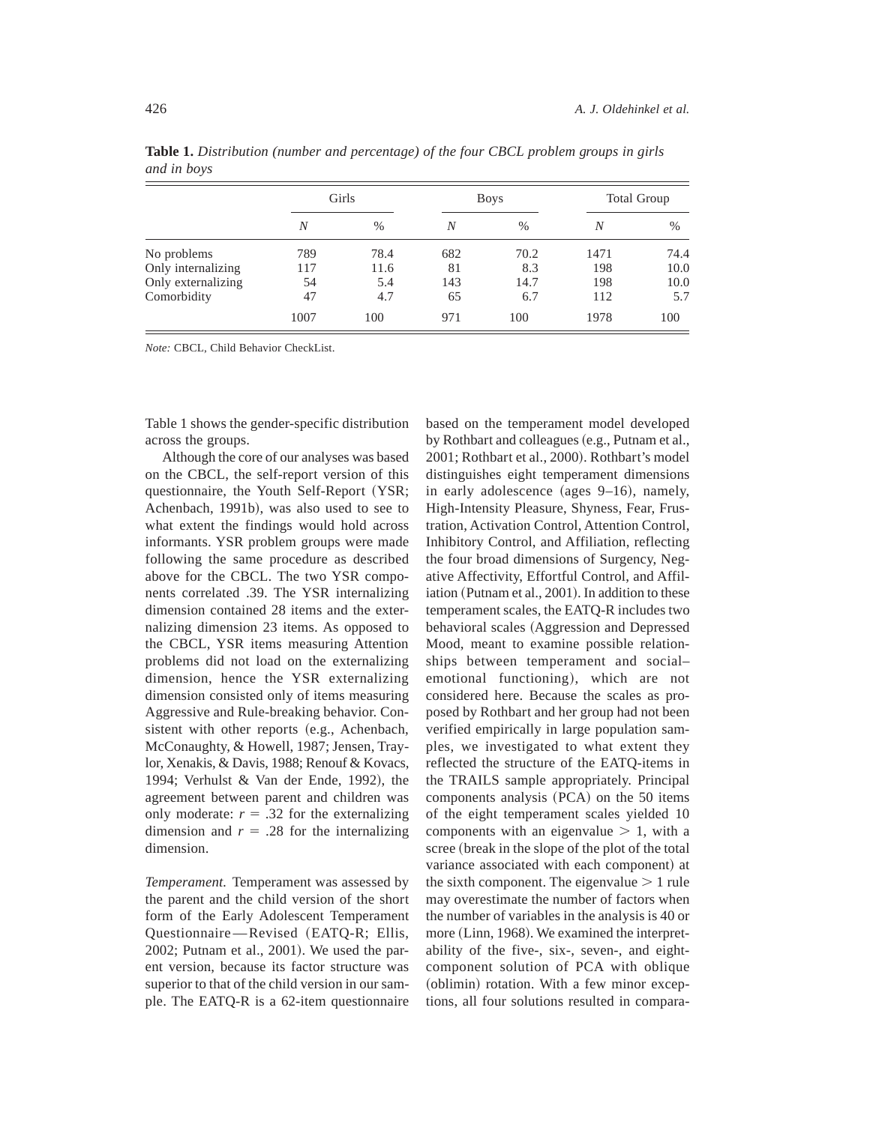| ╭<br>C |  |  |
|--------|--|--|
|        |  |  |
|        |  |  |

|                    | Girls |               | <b>Boys</b> |      | <b>Total Group</b> |               |
|--------------------|-------|---------------|-------------|------|--------------------|---------------|
|                    | N     | $\frac{0}{0}$ | N           | $\%$ | N                  | $\frac{0}{0}$ |
| No problems        | 789   | 78.4          | 682         | 70.2 | 1471               | 74.4          |
| Only internalizing | 117   | 11.6          | 81          | 8.3  | 198                | 10.0          |
| Only externalizing | 54    | 5.4           | 143         | 14.7 | 198                | 10.0          |
| Comorbidity        | 47    | 4.7           | 65          | 6.7  | 112                | 5.7           |
|                    | 1007  | 100           | 971         | 100  | 1978               | 100           |

**Table 1.** *Distribution (number and percentage) of the four CBCL problem groups in girls and in boys*

*Note:* CBCL, Child Behavior CheckList.

Table 1 shows the gender-specific distribution across the groups.

Although the core of our analyses was based on the CBCL, the self-report version of this questionnaire, the Youth Self-Report (YSR; Achenbach, 1991b), was also used to see to what extent the findings would hold across informants. YSR problem groups were made following the same procedure as described above for the CBCL. The two YSR components correlated .39. The YSR internalizing dimension contained 28 items and the externalizing dimension 23 items. As opposed to the CBCL, YSR items measuring Attention problems did not load on the externalizing dimension, hence the YSR externalizing dimension consisted only of items measuring Aggressive and Rule-breaking behavior. Consistent with other reports (e.g., Achenbach, McConaughty, & Howell, 1987; Jensen, Traylor, Xenakis, & Davis, 1988; Renouf & Kovacs, 1994; Verhulst & Van der Ende, 1992), the agreement between parent and children was only moderate:  $r = .32$  for the externalizing dimension and  $r = .28$  for the internalizing dimension.

*Temperament.* Temperament was assessed by the parent and the child version of the short form of the Early Adolescent Temperament Questionnaire—Revised (EATQ-R; Ellis,  $2002$ ; Putnam et al.,  $2001$ ). We used the parent version, because its factor structure was superior to that of the child version in our sample. The EATQ-R is a 62-item questionnaire

based on the temperament model developed by Rothbart and colleagues (e.g., Putnam et al., 2001; Rothbart et al., 2000). Rothbart's model distinguishes eight temperament dimensions in early adolescence (ages  $9-16$ ), namely, High-Intensity Pleasure, Shyness, Fear, Frustration, Activation Control, Attention Control, Inhibitory Control, and Affiliation, reflecting the four broad dimensions of Surgency, Negative Affectivity, Effortful Control, and Affiliation (Putnam et al.,  $2001$ ). In addition to these temperament scales, the EATQ-R includes two behavioral scales (Aggression and Depressed Mood, meant to examine possible relationships between temperament and social– emotional functioning), which are not considered here. Because the scales as proposed by Rothbart and her group had not been verified empirically in large population samples, we investigated to what extent they reflected the structure of the EATQ-items in the TRAILS sample appropriately. Principal components analysis  $(PCA)$  on the 50 items of the eight temperament scales yielded 10 components with an eigenvalue  $> 1$ , with a scree (break in the slope of the plot of the total variance associated with each component) at the sixth component. The eigenvalue  $> 1$  rule may overestimate the number of factors when the number of variables in the analysis is 40 or more (Linn, 1968). We examined the interpretability of the five-, six-, seven-, and eightcomponent solution of PCA with oblique (oblimin) rotation. With a few minor exceptions, all four solutions resulted in compara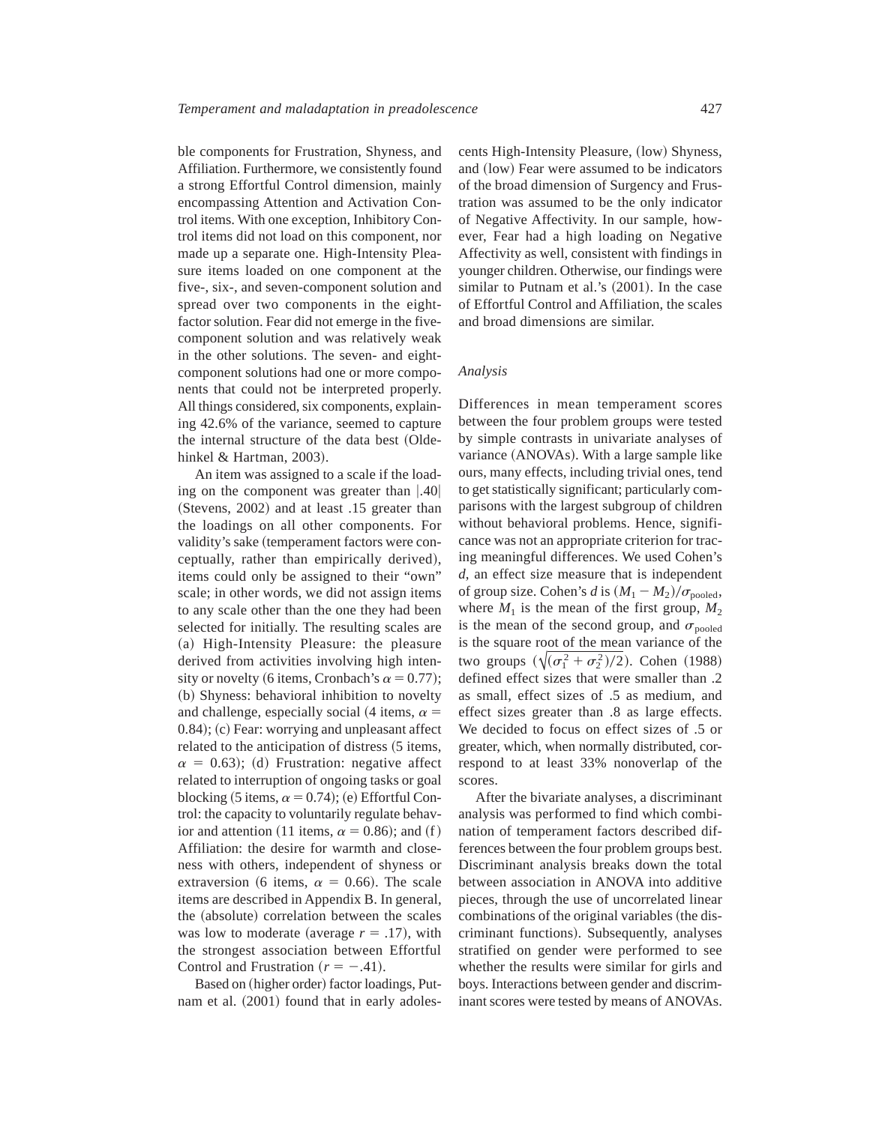ble components for Frustration, Shyness, and Affiliation. Furthermore, we consistently found a strong Effortful Control dimension, mainly encompassing Attention and Activation Control items. With one exception, Inhibitory Control items did not load on this component, nor made up a separate one. High-Intensity Pleasure items loaded on one component at the five-, six-, and seven-component solution and spread over two components in the eightfactor solution. Fear did not emerge in the fivecomponent solution and was relatively weak in the other solutions. The seven- and eightcomponent solutions had one or more components that could not be interpreted properly. All things considered, six components, explaining 42.6% of the variance, seemed to capture the internal structure of the data best (Oldehinkel & Hartman, 2003).

An item was assigned to a scale if the loading on the component was greater than  $(.40)$ (Stevens, 2002) and at least .15 greater than the loadings on all other components. For validity's sake (temperament factors were conceptually, rather than empirically derived), items could only be assigned to their "own" scale; in other words, we did not assign items to any scale other than the one they had been selected for initially. The resulting scales are (a) High-Intensity Pleasure: the pleasure derived from activities involving high intensity or novelty (6 items, Cronbach's  $\alpha = 0.77$ ); (b) Shyness: behavioral inhibition to novelty and challenge, especially social (4 items,  $\alpha$  =  $(0.84)$ ; (c) Fear: worrying and unpleasant affect related to the anticipation of distress (5 items,  $\alpha = 0.63$ ); (d) Frustration: negative affect related to interruption of ongoing tasks or goal blocking (5 items,  $\alpha = 0.74$ ); (e) Effortful Control: the capacity to voluntarily regulate behavior and attention (11 items,  $\alpha = 0.86$ ); and (f) Affiliation: the desire for warmth and closeness with others, independent of shyness or extraversion (6 items,  $\alpha = 0.66$ ). The scale items are described in Appendix B. In general, the (absolute) correlation between the scales was low to moderate (average  $r = .17$ ), with the strongest association between Effortful Control and Frustration  $(r = -.41)$ .

Based on (higher order) factor loadings, Putnam et al.  $(2001)$  found that in early adolescents High-Intensity Pleasure, (low) Shyness, and (low) Fear were assumed to be indicators of the broad dimension of Surgency and Frustration was assumed to be the only indicator of Negative Affectivity. In our sample, however, Fear had a high loading on Negative Affectivity as well, consistent with findings in younger children. Otherwise, our findings were similar to Putnam et al.'s  $(2001)$ . In the case of Effortful Control and Affiliation, the scales and broad dimensions are similar.

#### *Analysis*

Differences in mean temperament scores between the four problem groups were tested by simple contrasts in univariate analyses of variance (ANOVAs). With a large sample like ours, many effects, including trivial ones, tend to get statistically significant; particularly comparisons with the largest subgroup of children without behavioral problems. Hence, significance was not an appropriate criterion for tracing meaningful differences. We used Cohen's *d*, an effect size measure that is independent of group size. Cohen's *d* is  $(M_1 - M_2)/\sigma_{\text{pooled}}$ , where  $M_1$  is the mean of the first group,  $M_2$ is the mean of the second group, and  $\sigma_{\text{pooled}}$ is the square root of the mean variance of the two groups  $(\sqrt{(\sigma_1^2 + \sigma_2^2)/2})$ . Cohen (1988) defined effect sizes that were smaller than .2 as small, effect sizes of .5 as medium, and effect sizes greater than .8 as large effects. We decided to focus on effect sizes of .5 or greater, which, when normally distributed, correspond to at least 33% nonoverlap of the scores.

After the bivariate analyses, a discriminant analysis was performed to find which combination of temperament factors described differences between the four problem groups best. Discriminant analysis breaks down the total between association in ANOVA into additive pieces, through the use of uncorrelated linear combinations of the original variables (the discriminant functions). Subsequently, analyses stratified on gender were performed to see whether the results were similar for girls and boys. Interactions between gender and discriminant scores were tested by means of ANOVAs.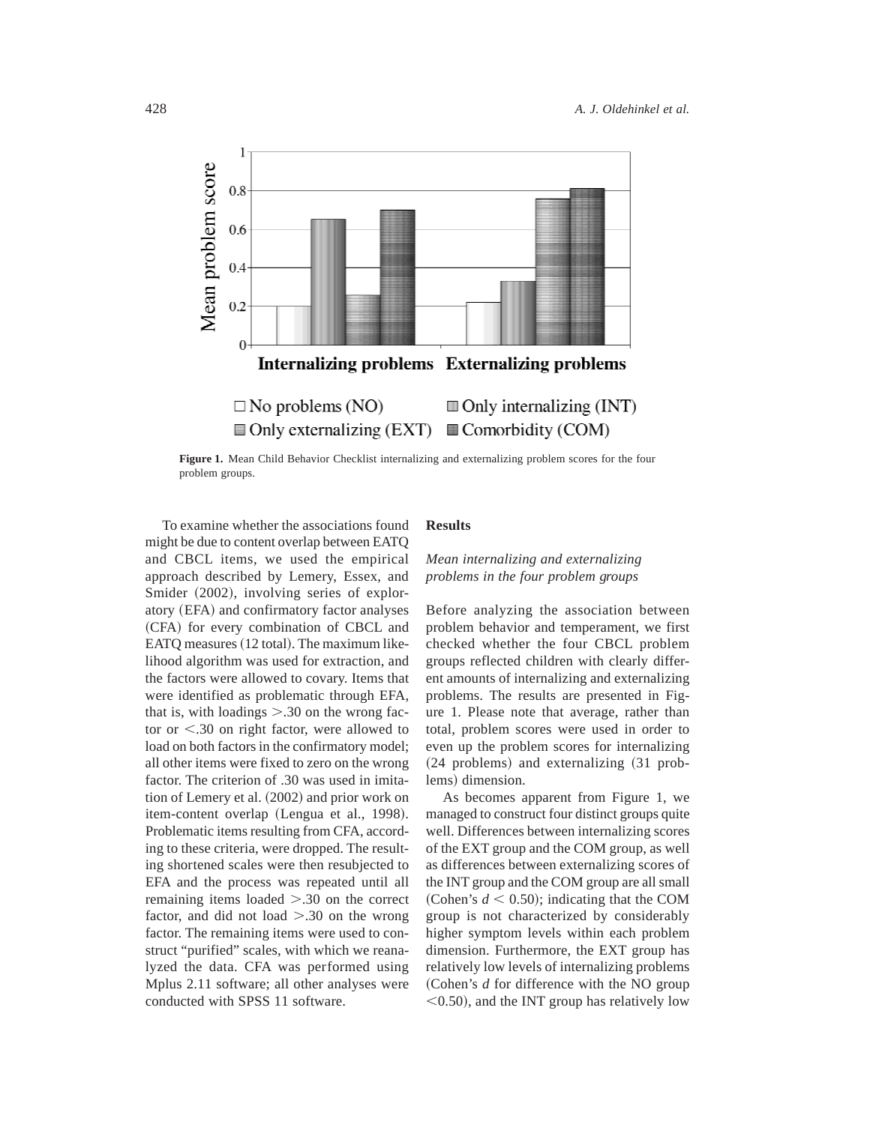

**Figure 1.** Mean Child Behavior Checklist internalizing and externalizing problem scores for the four problem groups.

To examine whether the associations found might be due to content overlap between EATQ and CBCL items, we used the empirical approach described by Lemery, Essex, and Smider (2002), involving series of exploratory (EFA) and confirmatory factor analyses (CFA) for every combination of CBCL and  $EATQ$  measures  $(12 \text{ total})$ . The maximum likelihood algorithm was used for extraction, and the factors were allowed to covary. Items that were identified as problematic through EFA, that is, with loadings  $> .30$  on the wrong factor or  $\leq$ .30 on right factor, were allowed to load on both factors in the confirmatory model; all other items were fixed to zero on the wrong factor. The criterion of .30 was used in imitation of Lemery et al.  $(2002)$  and prior work on item-content overlap (Lengua et al., 1998). Problematic items resulting from CFA, according to these criteria, were dropped. The resulting shortened scales were then resubjected to EFA and the process was repeated until all remaining items loaded  $> .30$  on the correct factor, and did not load  $> .30$  on the wrong factor. The remaining items were used to construct "purified" scales, with which we reanalyzed the data. CFA was performed using Mplus 2.11 software; all other analyses were conducted with SPSS 11 software.

# **Results**

# *Mean internalizing and externalizing problems in the four problem groups*

Before analyzing the association between problem behavior and temperament, we first checked whether the four CBCL problem groups reflected children with clearly different amounts of internalizing and externalizing problems. The results are presented in Figure 1. Please note that average, rather than total, problem scores were used in order to even up the problem scores for internalizing  $(24$  problems) and externalizing  $(31$  problems) dimension.

As becomes apparent from Figure 1, we managed to construct four distinct groups quite well. Differences between internalizing scores of the EXT group and the COM group, as well as differences between externalizing scores of the INT group and the COM group are all small (Cohen's  $d \le 0.50$ ); indicating that the COM group is not characterized by considerably higher symptom levels within each problem dimension. Furthermore, the EXT group has relatively low levels of internalizing problems ~Cohen's *d* for difference with the NO group  $\leq$ 0.50), and the INT group has relatively low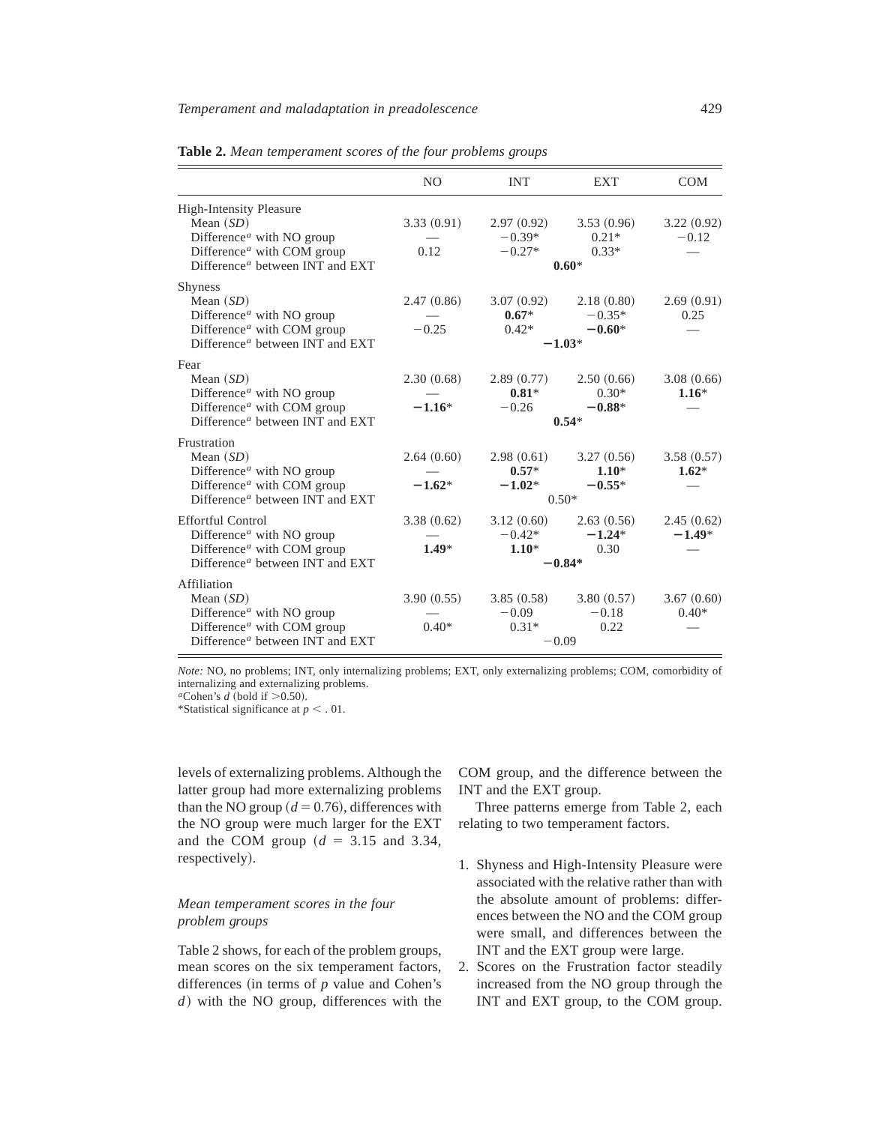|                                                                                                                                                                                                           | N <sub>O</sub>         | <b>INT</b>                                  | <b>EXT</b>                                     | <b>COM</b>             |
|-----------------------------------------------------------------------------------------------------------------------------------------------------------------------------------------------------------|------------------------|---------------------------------------------|------------------------------------------------|------------------------|
| High-Intensity Pleasure<br>Mean $(SD)$<br>Difference <sup><math>a</math></sup> with NO group<br>Difference <sup><math>a</math></sup> with COM group<br>Difference <sup><i>a</i></sup> between INT and EXT | 3.33(0.91)<br>0.12     | 2.97(0.92)<br>$-0.39*$<br>$-0.27*$          | 3.53(0.96)<br>$0.21*$<br>$0.33*$<br>$0.60*$    | 3.22(0.92)<br>$-0.12$  |
| <b>Shyness</b><br>Mean $(SD)$<br>Difference <sup><i>a</i></sup> with NO group<br>Difference <sup><math>a</math></sup> with COM group<br>Difference <sup><i>a</i></sup> between INT and EXT                | 2.47(0.86)<br>$-0.25$  | 3.07(0.92)<br>$0.67*$<br>$0.42*$            | 2.18(0.80)<br>$-0.35*$<br>$-0.60*$<br>$-1.03*$ | 2.69(0.91)<br>0.25     |
| Fear<br>Mean $(SD)$<br>Difference <sup><i>a</i></sup> with NO group<br>Difference <sup>a</sup> with COM group<br>Difference <sup><i>a</i></sup> between INT and EXT                                       | 2.30(0.68)<br>$-1.16*$ | 2.89(0.77)<br>$0.81*$<br>$-0.26$            | 2.50(0.66)<br>$0.30*$<br>$-0.88*$<br>$0.54*$   | 3.08(0.66)<br>$1.16*$  |
| Frustration<br>Mean $(SD)$<br>Difference <sup><math>a</math></sup> with NO group<br>Difference <sup><math>a</math></sup> with COM group<br>Difference <sup><i>a</i></sup> between INT and EXT             | 2.64(0.60)<br>$-1.62*$ | 2.98(0.61)<br>$0.57*$<br>$-1.02*$           | 3.27(0.56)<br>$1.10*$<br>$-0.55*$<br>$0.50*$   | 3.58(0.57)<br>$1.62*$  |
| <b>Effortful Control</b><br>Difference <sup><math>a</math></sup> with NO group<br>Difference <sup><math>a</math></sup> with COM group<br>Difference <sup><i>a</i></sup> between INT and EXT               | 3.38(0.62)<br>$1.49*$  | 3.12(0.60)<br>$-0.42*$<br>$1.10*$           | 2.63(0.56)<br>$-1.24*$<br>0.30<br>$-0.84*$     | 2.45(0.62)<br>$-1.49*$ |
| Affiliation<br>Mean $(SD)$<br>Difference <sup><math>a</math></sup> with NO group<br>Difference <sup><math>a</math></sup> with COM group<br>Difference <sup><i>a</i></sup> between INT and EXT             | 3.90(0.55)<br>$0.40*$  | 3.85(0.58)<br>$-0.09$<br>$0.31*$<br>$-0.09$ | 3.80(0.57)<br>$-0.18$<br>0.22                  | 3.67(0.60)<br>$0.40*$  |

**Table 2.** *Mean temperament scores of the four problems groups*

*Note:* NO, no problems; INT, only internalizing problems; EXT, only externalizing problems; COM, comorbidity of internalizing and externalizing problems.

 $a$ Cohen's *d* (bold if  $>0.50$ ).

\*Statistical significance at  $p < .01$ .

levels of externalizing problems. Although the latter group had more externalizing problems than the NO group  $(d = 0.76)$ , differences with the NO group were much larger for the EXT and the COM group  $(d = 3.15$  and 3.34, respectively).

# *Mean temperament scores in the four problem groups*

Table 2 shows, for each of the problem groups, mean scores on the six temperament factors, differences (in terms of  $p$  value and Cohen's *d*) with the NO group, differences with the COM group, and the difference between the INT and the EXT group.

Three patterns emerge from Table 2, each relating to two temperament factors.

- 1. Shyness and High-Intensity Pleasure were associated with the relative rather than with the absolute amount of problems: differences between the NO and the COM group were small, and differences between the INT and the EXT group were large.
- 2. Scores on the Frustration factor steadily increased from the NO group through the INT and EXT group, to the COM group.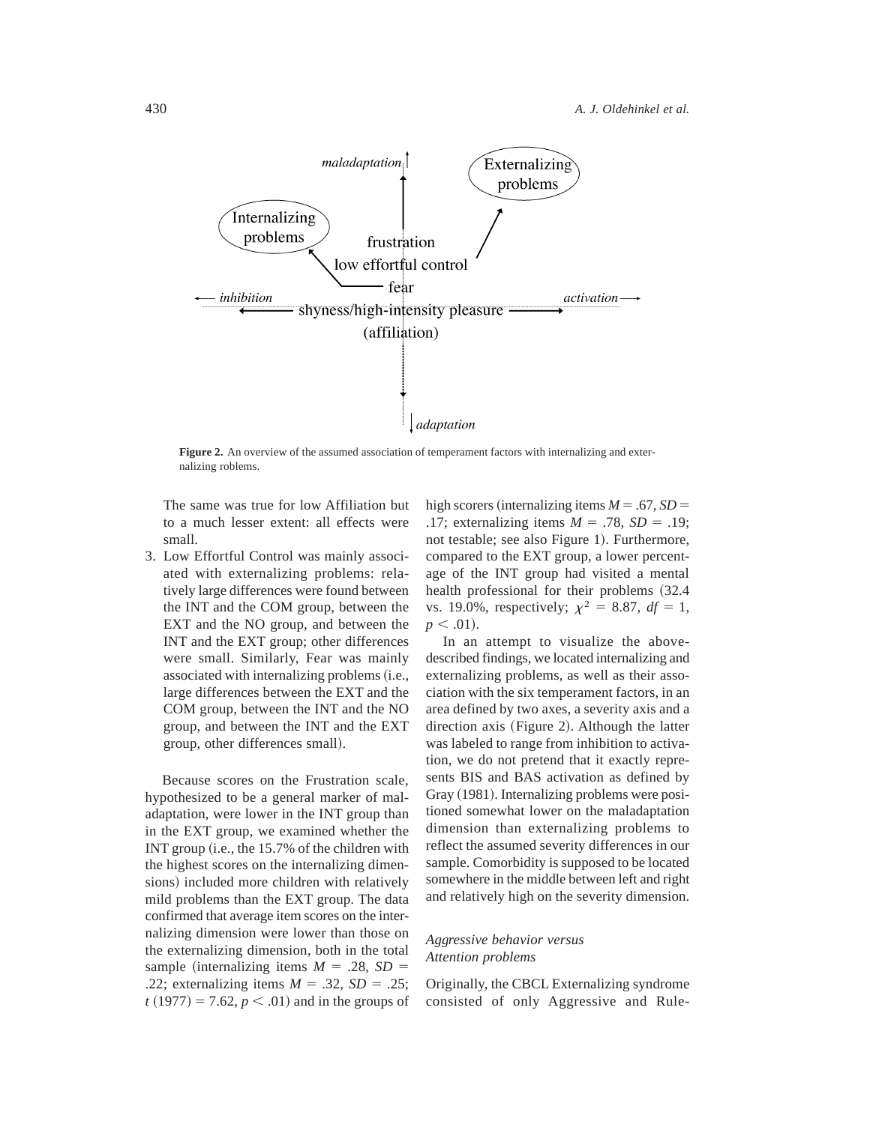

**Figure 2.** An overview of the assumed association of temperament factors with internalizing and externalizing roblems.

The same was true for low Affiliation but to a much lesser extent: all effects were small.

3. Low Effortful Control was mainly associated with externalizing problems: relatively large differences were found between the INT and the COM group, between the EXT and the NO group, and between the INT and the EXT group; other differences were small. Similarly, Fear was mainly associated with internalizing problems (i.e., large differences between the EXT and the COM group, between the INT and the NO group, and between the INT and the EXT group, other differences small).

Because scores on the Frustration scale, hypothesized to be a general marker of maladaptation, were lower in the INT group than in the EXT group, we examined whether the INT group (i.e., the  $15.7\%$  of the children with the highest scores on the internalizing dimensions) included more children with relatively mild problems than the EXT group. The data confirmed that average item scores on the internalizing dimension were lower than those on the externalizing dimension, both in the total sample (internalizing items  $M = .28$ ,  $SD =$ .22; externalizing items  $M = .32$ ,  $SD = .25$ ;  $t(1977) = 7.62, p < .01$  and in the groups of

high scorers (internalizing items  $M = .67$ ,  $SD =$ .17; externalizing items  $M = .78$ ,  $SD = .19$ ; not testable; see also Figure 1). Furthermore, compared to the EXT group, a lower percentage of the INT group had visited a mental health professional for their problems  $(32.4)$ vs. 19.0%, respectively;  $\chi^2 = 8.87$ ,  $df = 1$ ,  $p < .01$ ).

In an attempt to visualize the abovedescribed findings, we located internalizing and externalizing problems, as well as their association with the six temperament factors, in an area defined by two axes, a severity axis and a direction axis (Figure 2). Although the latter was labeled to range from inhibition to activation, we do not pretend that it exactly represents BIS and BAS activation as defined by Gray (1981). Internalizing problems were positioned somewhat lower on the maladaptation dimension than externalizing problems to reflect the assumed severity differences in our sample. Comorbidity is supposed to be located somewhere in the middle between left and right and relatively high on the severity dimension.

#### *Aggressive behavior versus Attention problems*

Originally, the CBCL Externalizing syndrome consisted of only Aggressive and Rule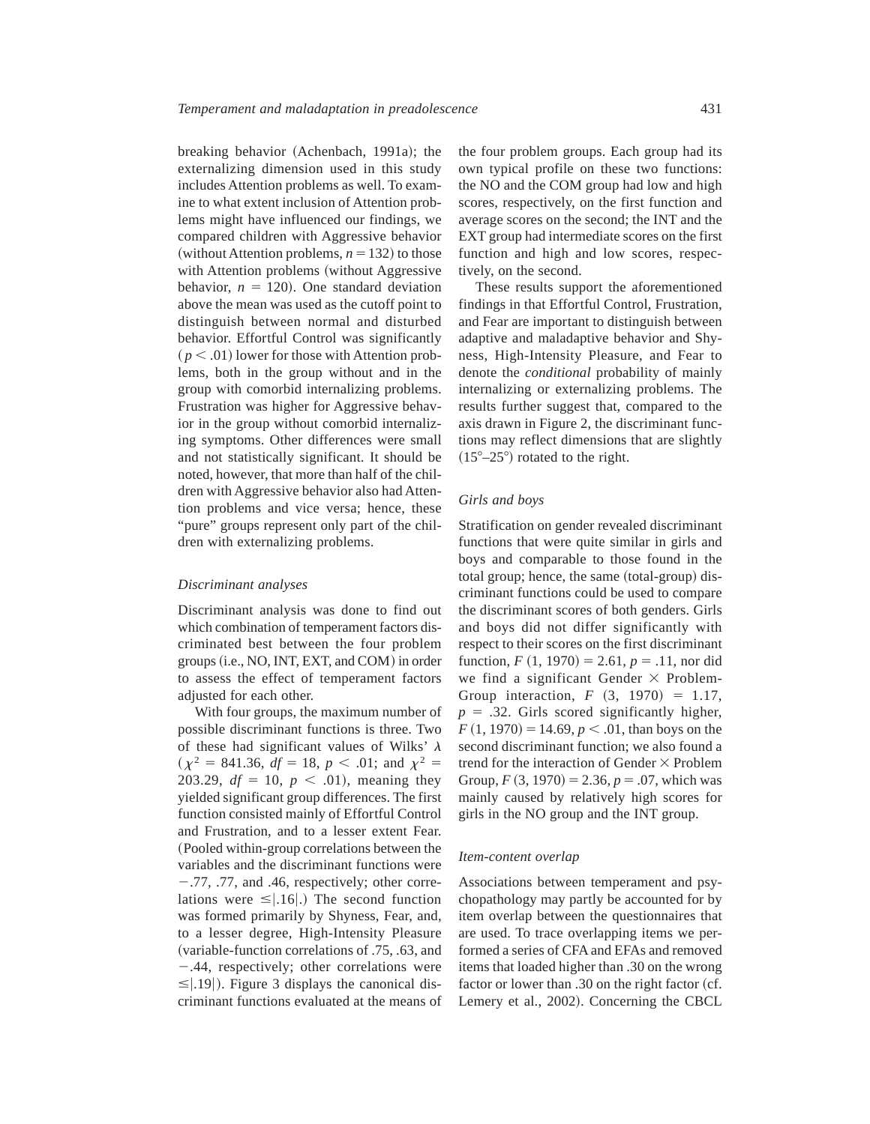breaking behavior (Achenbach, 1991a); the externalizing dimension used in this study includes Attention problems as well. To examine to what extent inclusion of Attention problems might have influenced our findings, we compared children with Aggressive behavior (without Attention problems,  $n = 132$ ) to those with Attention problems (without Aggressive behavior,  $n = 120$ ). One standard deviation above the mean was used as the cutoff point to distinguish between normal and disturbed behavior. Effortful Control was significantly  $(p < .01)$  lower for those with Attention problems, both in the group without and in the group with comorbid internalizing problems. Frustration was higher for Aggressive behavior in the group without comorbid internalizing symptoms. Other differences were small and not statistically significant. It should be noted, however, that more than half of the children with Aggressive behavior also had Attention problems and vice versa; hence, these "pure" groups represent only part of the children with externalizing problems.

#### *Discriminant analyses*

Discriminant analysis was done to find out which combination of temperament factors discriminated best between the four problem groups (i.e., NO, INT, EXT, and COM) in order to assess the effect of temperament factors adjusted for each other.

With four groups, the maximum number of possible discriminant functions is three. Two of these had significant values of Wilks'  $\lambda$  $(\chi^2 = 841.36, df = 18, p < .01;$  and  $\chi^2 =$ 203.29,  $df = 10$ ,  $p < .01$ ), meaning they yielded significant group differences. The first function consisted mainly of Effortful Control and Frustration, and to a lesser extent Fear. ~Pooled within-group correlations between the variables and the discriminant functions were 2.77, .77, and .46, respectively; other correlations were  $\leq$ .16...) The second function was formed primarily by Shyness, Fear, and, to a lesser degree, High-Intensity Pleasure  $\varphi$  (variable-function correlations of .75, .63, and  $-0.44$ , respectively; other correlations were  $\leq$  [.19]). Figure 3 displays the canonical discriminant functions evaluated at the means of

the four problem groups. Each group had its own typical profile on these two functions: the NO and the COM group had low and high scores, respectively, on the first function and average scores on the second; the INT and the EXT group had intermediate scores on the first function and high and low scores, respectively, on the second.

These results support the aforementioned findings in that Effortful Control, Frustration, and Fear are important to distinguish between adaptive and maladaptive behavior and Shyness, High-Intensity Pleasure, and Fear to denote the *conditional* probability of mainly internalizing or externalizing problems. The results further suggest that, compared to the axis drawn in Figure 2, the discriminant functions may reflect dimensions that are slightly  $(15^{\circ}-25^{\circ})$  rotated to the right.

#### *Girls and boys*

Stratification on gender revealed discriminant functions that were quite similar in girls and boys and comparable to those found in the total group; hence, the same (total-group) discriminant functions could be used to compare the discriminant scores of both genders. Girls and boys did not differ significantly with respect to their scores on the first discriminant function,  $F(1, 1970) = 2.61$ ,  $p = .11$ , nor did we find a significant Gender  $\times$  Problem-Group interaction,  $F(3, 1970) = 1.17$ ,  $p = .32$ . Girls scored significantly higher,  $F(1, 1970) = 14.69, p < .01$ , than boys on the second discriminant function; we also found a trend for the interaction of Gender  $\times$  Problem Group,  $F(3, 1970) = 2.36$ ,  $p = .07$ , which was mainly caused by relatively high scores for girls in the NO group and the INT group.

#### *Item-content overlap*

Associations between temperament and psychopathology may partly be accounted for by item overlap between the questionnaires that are used. To trace overlapping items we performed a series of CFA and EFAs and removed items that loaded higher than .30 on the wrong factor or lower than  $.30$  on the right factor (cf. Lemery et al., 2002). Concerning the CBCL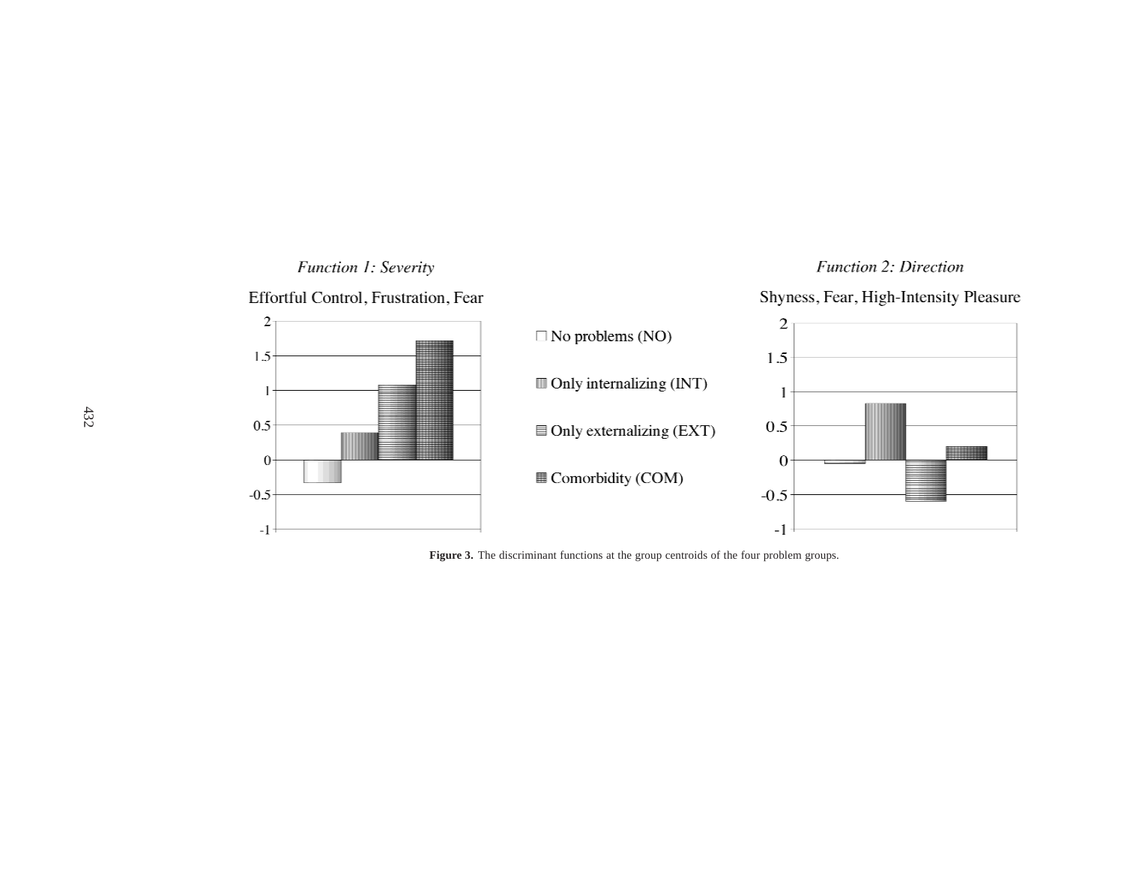# Function 1: Severity

# **Function 2: Direction**

Effortful Control, Frustration, Fear

 $\overline{2}$ 

 $1.5$ 

 $\mathbf{1}$ 

 $0.5$ 

 $\bf{0}$ 

 $-0.5$ 

 $-1$ 

# Shyness, Fear, High-Intensity Pleasure



**Figure 3.** The discriminant functions at the group centroids of the four problem groups.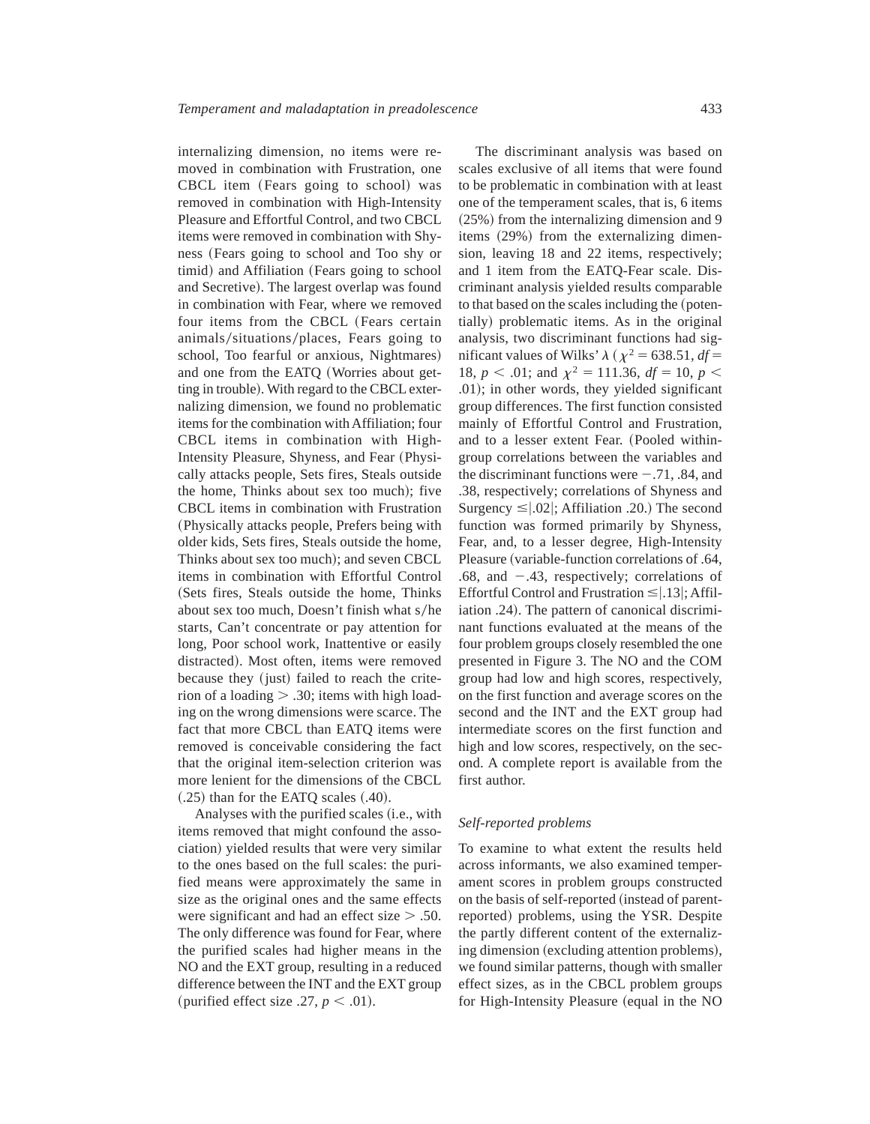internalizing dimension, no items were removed in combination with Frustration, one CBCL item (Fears going to school) was removed in combination with High-Intensity Pleasure and Effortful Control, and two CBCL items were removed in combination with Shyness (Fears going to school and Too shy or timid) and Affiliation (Fears going to school and Secretive). The largest overlap was found in combination with Fear, where we removed four items from the CBCL (Fears certain animals/situations/places, Fears going to school, Too fearful or anxious, Nightmares) and one from the EATQ (Worries about getting in trouble). With regard to the CBCL externalizing dimension, we found no problematic items for the combination with Affiliation; four CBCL items in combination with High-Intensity Pleasure, Shyness, and Fear (Physically attacks people, Sets fires, Steals outside the home, Thinks about sex too much); five CBCL items in combination with Frustration (Physically attacks people, Prefers being with older kids, Sets fires, Steals outside the home, Thinks about sex too much); and seven CBCL items in combination with Effortful Control (Sets fires, Steals outside the home, Thinks about sex too much, Doesn't finish what s/he starts, Can't concentrate or pay attention for long, Poor school work, Inattentive or easily distracted). Most often, items were removed because they (just) failed to reach the criterion of a loading  $> .30$ ; items with high loading on the wrong dimensions were scarce. The fact that more CBCL than EATQ items were removed is conceivable considering the fact that the original item-selection criterion was more lenient for the dimensions of the CBCL  $(.25)$  than for the EATQ scales  $(.40)$ .

Analyses with the purified scales (i.e., with items removed that might confound the association) yielded results that were very similar to the ones based on the full scales: the purified means were approximately the same in size as the original ones and the same effects were significant and had an effect size  $> .50$ . The only difference was found for Fear, where the purified scales had higher means in the NO and the EXT group, resulting in a reduced difference between the INT and the EXT group (purified effect size  $.27, p \le .01$ ).

The discriminant analysis was based on scales exclusive of all items that were found to be problematic in combination with at least one of the temperament scales, that is, 6 items  $(25%)$  from the internalizing dimension and 9  $items (29%) from the externalizing dimen$ sion, leaving 18 and 22 items, respectively; and 1 item from the EATQ-Fear scale. Discriminant analysis yielded results comparable to that based on the scales including the (potentially! problematic items. As in the original analysis, two discriminant functions had significant values of Wilks'  $\lambda$  ( $\chi^2$  = 638.51, *df* = 18,  $p < .01$ ; and  $\chi^2 = 111.36$ ,  $df = 10$ ,  $p <$ .01); in other words, they yielded significant group differences. The first function consisted mainly of Effortful Control and Frustration, and to a lesser extent Fear. (Pooled withingroup correlations between the variables and the discriminant functions were  $-.71, .84,$  and .38, respectively; correlations of Shyness and Surgency  $\leq$   $|.02|$ ; Affiliation .20.) The second function was formed primarily by Shyness, Fear, and, to a lesser degree, High-Intensity Pleasure (variable-function correlations of .64, .68, and  $-.43$ , respectively; correlations of Effortful Control and Frustration  $\leq$  | .13|; Affiliation .24). The pattern of canonical discriminant functions evaluated at the means of the four problem groups closely resembled the one presented in Figure 3. The NO and the COM group had low and high scores, respectively, on the first function and average scores on the second and the INT and the EXT group had intermediate scores on the first function and high and low scores, respectively, on the second. A complete report is available from the first author.

#### *Self-reported problems*

To examine to what extent the results held across informants, we also examined temperament scores in problem groups constructed on the basis of self-reported (instead of parentreported) problems, using the YSR. Despite the partly different content of the externalizing dimension (excluding attention problems), we found similar patterns, though with smaller effect sizes, as in the CBCL problem groups for High-Intensity Pleasure (equal in the NO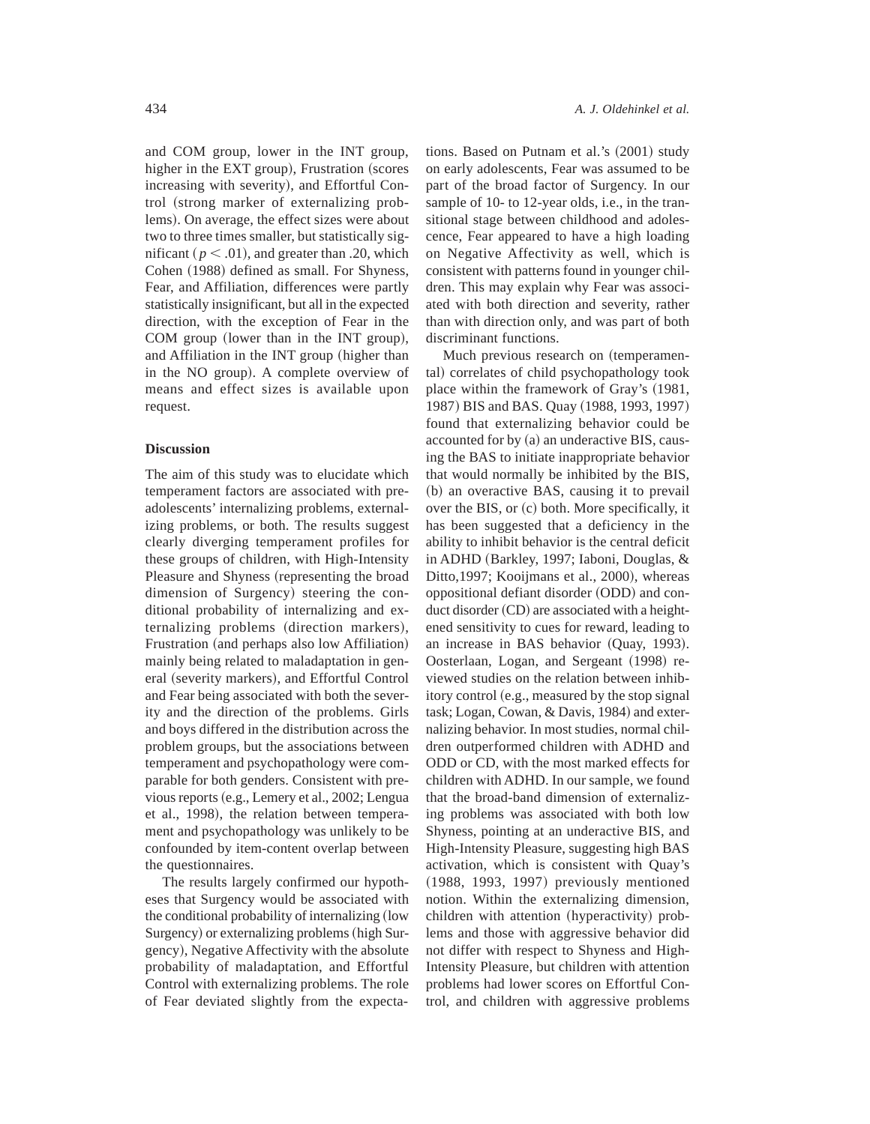and COM group, lower in the INT group, higher in the EXT group), Frustration (scores increasing with severity), and Effortful Control (strong marker of externalizing problems). On average, the effect sizes were about two to three times smaller, but statistically significant ( $p < .01$ ), and greater than .20, which Cohen (1988) defined as small. For Shyness, Fear, and Affiliation, differences were partly statistically insignificant, but all in the expected direction, with the exception of Fear in the COM group (lower than in the INT group), and Affiliation in the INT group (higher than in the NO group). A complete overview of means and effect sizes is available upon request.

#### **Discussion**

The aim of this study was to elucidate which temperament factors are associated with preadolescents' internalizing problems, externalizing problems, or both. The results suggest clearly diverging temperament profiles for these groups of children, with High-Intensity Pleasure and Shyness (representing the broad dimension of Surgency) steering the conditional probability of internalizing and externalizing problems (direction markers), Frustration (and perhaps also low Affiliation) mainly being related to maladaptation in general (severity markers), and Effortful Control and Fear being associated with both the severity and the direction of the problems. Girls and boys differed in the distribution across the problem groups, but the associations between temperament and psychopathology were comparable for both genders. Consistent with previous reports (e.g., Lemery et al., 2002; Lengua et al., 1998), the relation between temperament and psychopathology was unlikely to be confounded by item-content overlap between the questionnaires.

The results largely confirmed our hypotheses that Surgency would be associated with the conditional probability of internalizing (low Surgency) or externalizing problems (high Surgency), Negative Affectivity with the absolute probability of maladaptation, and Effortful Control with externalizing problems. The role of Fear deviated slightly from the expectations. Based on Putnam et al.'s (2001) study on early adolescents, Fear was assumed to be part of the broad factor of Surgency. In our sample of 10- to 12-year olds, i.e., in the transitional stage between childhood and adolescence, Fear appeared to have a high loading on Negative Affectivity as well, which is consistent with patterns found in younger children. This may explain why Fear was associated with both direction and severity, rather than with direction only, and was part of both discriminant functions.

Much previous research on (temperamental) correlates of child psychopathology took place within the framework of Gray's (1981, 1987) BIS and BAS. Quay (1988, 1993, 1997) found that externalizing behavior could be accounted for by (a) an underactive BIS, causing the BAS to initiate inappropriate behavior that would normally be inhibited by the BIS, (b) an overactive BAS, causing it to prevail over the BIS, or  $(c)$  both. More specifically, it has been suggested that a deficiency in the ability to inhibit behavior is the central deficit in ADHD (Barkley, 1997; Iaboni, Douglas, & Ditto,1997; Kooijmans et al., 2000), whereas oppositional defiant disorder (ODD) and conduct disorder  $(CD)$  are associated with a heightened sensitivity to cues for reward, leading to an increase in BAS behavior (Quay, 1993). Oosterlaan, Logan, and Sergeant (1998) reviewed studies on the relation between inhibitory control  $(e.g., measured by the stop signal)$ task; Logan, Cowan, & Davis, 1984) and externalizing behavior. In most studies, normal children outperformed children with ADHD and ODD or CD, with the most marked effects for children with ADHD. In our sample, we found that the broad-band dimension of externalizing problems was associated with both low Shyness, pointing at an underactive BIS, and High-Intensity Pleasure, suggesting high BAS activation, which is consistent with Quay's  $(1988, 1993, 1997)$  previously mentioned notion. Within the externalizing dimension, children with attention (hyperactivity) problems and those with aggressive behavior did not differ with respect to Shyness and High-Intensity Pleasure, but children with attention problems had lower scores on Effortful Control, and children with aggressive problems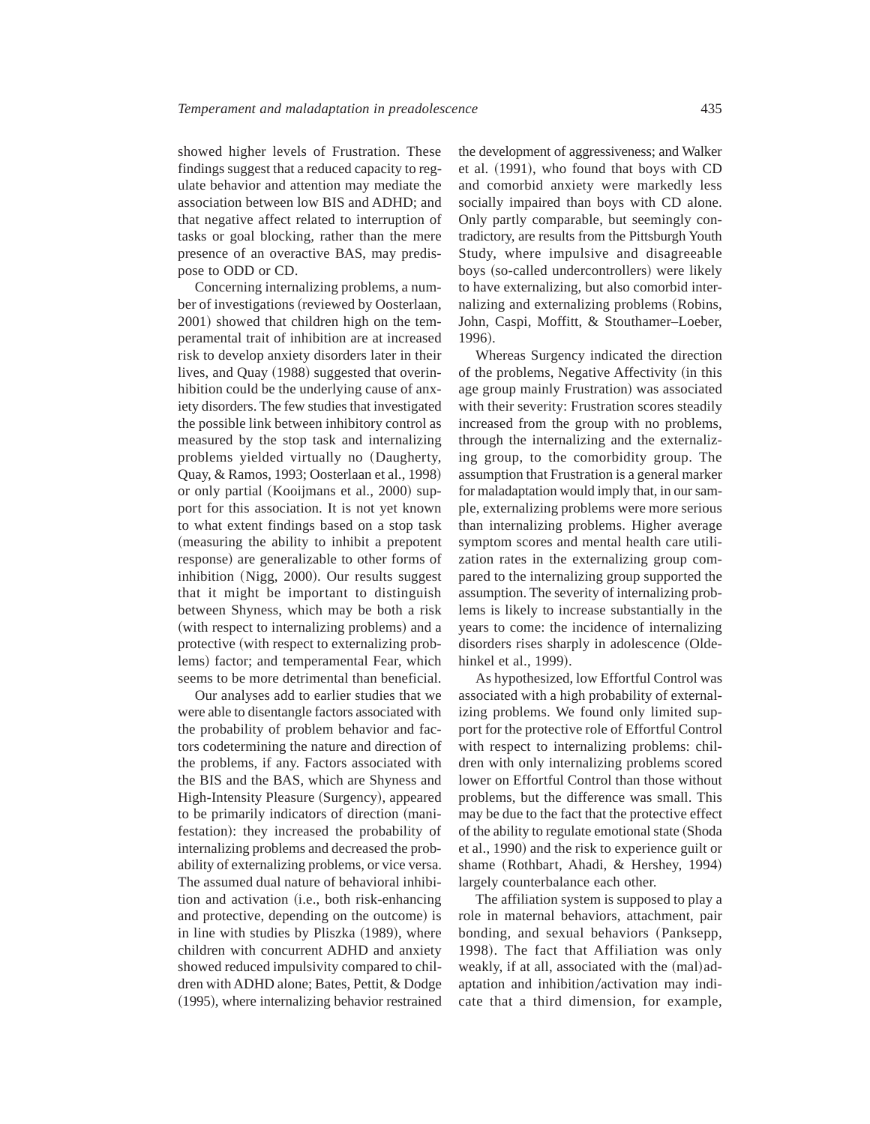showed higher levels of Frustration. These findings suggest that a reduced capacity to regulate behavior and attention may mediate the association between low BIS and ADHD; and that negative affect related to interruption of tasks or goal blocking, rather than the mere presence of an overactive BAS, may predispose to ODD or CD.

Concerning internalizing problems, a number of investigations (reviewed by Oosterlaan, 2001) showed that children high on the temperamental trait of inhibition are at increased risk to develop anxiety disorders later in their lives, and Quay (1988) suggested that overinhibition could be the underlying cause of anxiety disorders. The few studies that investigated the possible link between inhibitory control as measured by the stop task and internalizing problems yielded virtually no (Daugherty, Quay, & Ramos, 1993; Oosterlaan et al., 1998! or only partial (Kooijmans et al., 2000) support for this association. It is not yet known to what extent findings based on a stop task (measuring the ability to inhibit a prepotent response) are generalizable to other forms of inhibition (Nigg, 2000). Our results suggest that it might be important to distinguish between Shyness, which may be both a risk (with respect to internalizing problems) and a protective (with respect to externalizing problems) factor; and temperamental Fear, which seems to be more detrimental than beneficial.

Our analyses add to earlier studies that we were able to disentangle factors associated with the probability of problem behavior and factors codetermining the nature and direction of the problems, if any. Factors associated with the BIS and the BAS, which are Shyness and High-Intensity Pleasure (Surgency), appeared to be primarily indicators of direction (manifestation): they increased the probability of internalizing problems and decreased the probability of externalizing problems, or vice versa. The assumed dual nature of behavioral inhibition and activation (i.e., both risk-enhancing and protective, depending on the outcome) is in line with studies by Pliszka  $(1989)$ , where children with concurrent ADHD and anxiety showed reduced impulsivity compared to children with ADHD alone; Bates, Pettit, & Dodge  $(1995)$ , where internalizing behavior restrained

the development of aggressiveness; and Walker et al.  $(1991)$ , who found that boys with CD and comorbid anxiety were markedly less socially impaired than boys with CD alone. Only partly comparable, but seemingly contradictory, are results from the Pittsburgh Youth Study, where impulsive and disagreeable boys (so-called undercontrollers) were likely to have externalizing, but also comorbid internalizing and externalizing problems (Robins, John, Caspi, Moffitt, & Stouthamer–Loeber, 1996).

Whereas Surgency indicated the direction of the problems, Negative Affectivity (in this age group mainly Frustration) was associated with their severity: Frustration scores steadily increased from the group with no problems, through the internalizing and the externalizing group, to the comorbidity group. The assumption that Frustration is a general marker for maladaptation would imply that, in our sample, externalizing problems were more serious than internalizing problems. Higher average symptom scores and mental health care utilization rates in the externalizing group compared to the internalizing group supported the assumption. The severity of internalizing problems is likely to increase substantially in the years to come: the incidence of internalizing disorders rises sharply in adolescence (Oldehinkel et al., 1999).

As hypothesized, low Effortful Control was associated with a high probability of externalizing problems. We found only limited support for the protective role of Effortful Control with respect to internalizing problems: children with only internalizing problems scored lower on Effortful Control than those without problems, but the difference was small. This may be due to the fact that the protective effect of the ability to regulate emotional state (Shoda et al., 1990) and the risk to experience guilt or shame (Rothbart, Ahadi, & Hershey, 1994) largely counterbalance each other.

The affiliation system is supposed to play a role in maternal behaviors, attachment, pair bonding, and sexual behaviors (Panksepp, 1998). The fact that Affiliation was only weakly, if at all, associated with the  $(mal)$ adaptation and inhibition/activation may indicate that a third dimension, for example,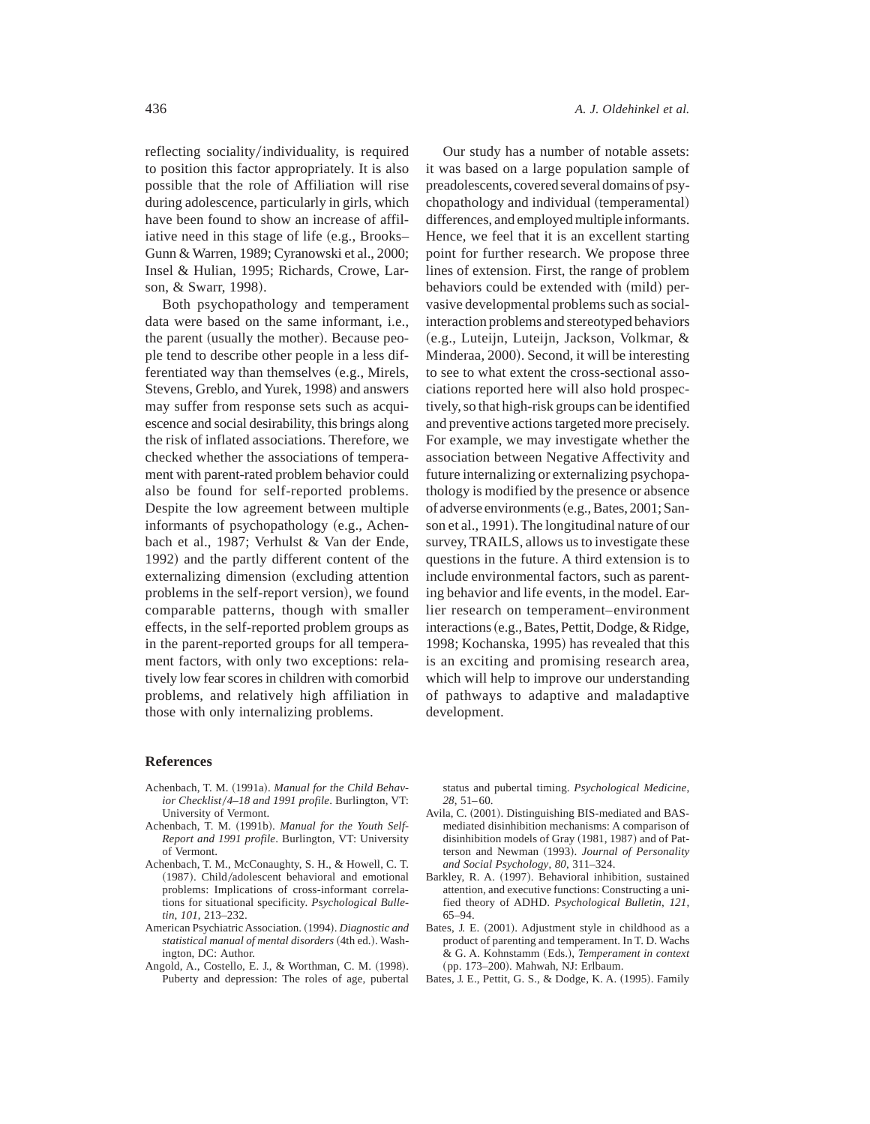reflecting sociality/individuality, is required to position this factor appropriately. It is also possible that the role of Affiliation will rise during adolescence, particularly in girls, which have been found to show an increase of affiliative need in this stage of life  $(e.g., Brooks-$ Gunn & Warren, 1989; Cyranowski et al., 2000; Insel & Hulian, 1995; Richards, Crowe, Larson, & Swarr, 1998).

Both psychopathology and temperament data were based on the same informant, i.e., the parent (usually the mother). Because people tend to describe other people in a less differentiated way than themselves (e.g., Mirels, Stevens, Greblo, and Yurek, 1998) and answers may suffer from response sets such as acquiescence and social desirability, this brings along the risk of inflated associations. Therefore, we checked whether the associations of temperament with parent-rated problem behavior could also be found for self-reported problems. Despite the low agreement between multiple informants of psychopathology (e.g., Achenbach et al., 1987; Verhulst & Van der Ende, 1992) and the partly different content of the externalizing dimension (excluding attention problems in the self-report version), we found comparable patterns, though with smaller effects, in the self-reported problem groups as in the parent-reported groups for all temperament factors, with only two exceptions: relatively low fear scores in children with comorbid problems, and relatively high affiliation in those with only internalizing problems.

Our study has a number of notable assets: it was based on a large population sample of preadolescents, covered several domains of psychopathology and individual (temperamental) differences, and employed multiple informants. Hence, we feel that it is an excellent starting point for further research. We propose three lines of extension. First, the range of problem behaviors could be extended with (mild) pervasive developmental problems such as socialinteraction problems and stereotyped behaviors (e.g., Luteijn, Luteijn, Jackson, Volkmar, & Minderaa, 2000). Second, it will be interesting to see to what extent the cross-sectional associations reported here will also hold prospectively, so that high-risk groups can be identified and preventive actions targeted more precisely. For example, we may investigate whether the association between Negative Affectivity and future internalizing or externalizing psychopathology is modified by the presence or absence of adverse environments (e.g., Bates, 2001; Sanson et al., 1991). The longitudinal nature of our survey, TRAILS, allows us to investigate these questions in the future. A third extension is to include environmental factors, such as parenting behavior and life events, in the model. Earlier research on temperament–environment interactions (e.g., Bates, Pettit, Dodge, & Ridge, 1998; Kochanska, 1995) has revealed that this is an exciting and promising research area, which will help to improve our understanding of pathways to adaptive and maladaptive development.

#### **References**

- Achenbach, T. M. (1991a). *Manual for the Child Behavior Checklist*/4–18 and 1991 profile. Burlington, VT: University of Vermont.
- Achenbach, T. M. (1991b). *Manual for the Youth Self-Report and 1991 profile*. Burlington, VT: University of Vermont.
- Achenbach, T. M., McConaughty, S. H., & Howell, C. T. (1987). Child/adolescent behavioral and emotional problems: Implications of cross-informant correlations for situational specificity. *Psychological Bulletin*, *101*, 213–232.
- American Psychiatric Association. (1994). *Diagnostic and* statistical manual of mental disorders (4th ed.). Washington, DC: Author.
- Angold, A., Costello, E. J., & Worthman, C. M. (1998). Puberty and depression: The roles of age, pubertal

status and pubertal timing. *Psychological Medicine*, *28*, 51– 60.

- Avila, C. (2001). Distinguishing BIS-mediated and BASmediated disinhibition mechanisms: A comparison of disinhibition models of Gray (1981, 1987) and of Patterson and Newman (1993). Journal of Personality *and Social Psychology*, *80*, 311–324.
- Barkley, R. A. (1997). Behavioral inhibition, sustained attention, and executive functions: Constructing a unified theory of ADHD. *Psychological Bulletin*, *121*, 65–94.
- Bates, J. E. (2001). Adjustment style in childhood as a product of parenting and temperament. In T. D. Wachs  $& G. A.$  Kohnstamm (Eds.), *Temperament in context* (pp. 173–200). Mahwah, NJ: Erlbaum.
- Bates, J. E., Pettit, G. S., & Dodge, K. A. (1995). Family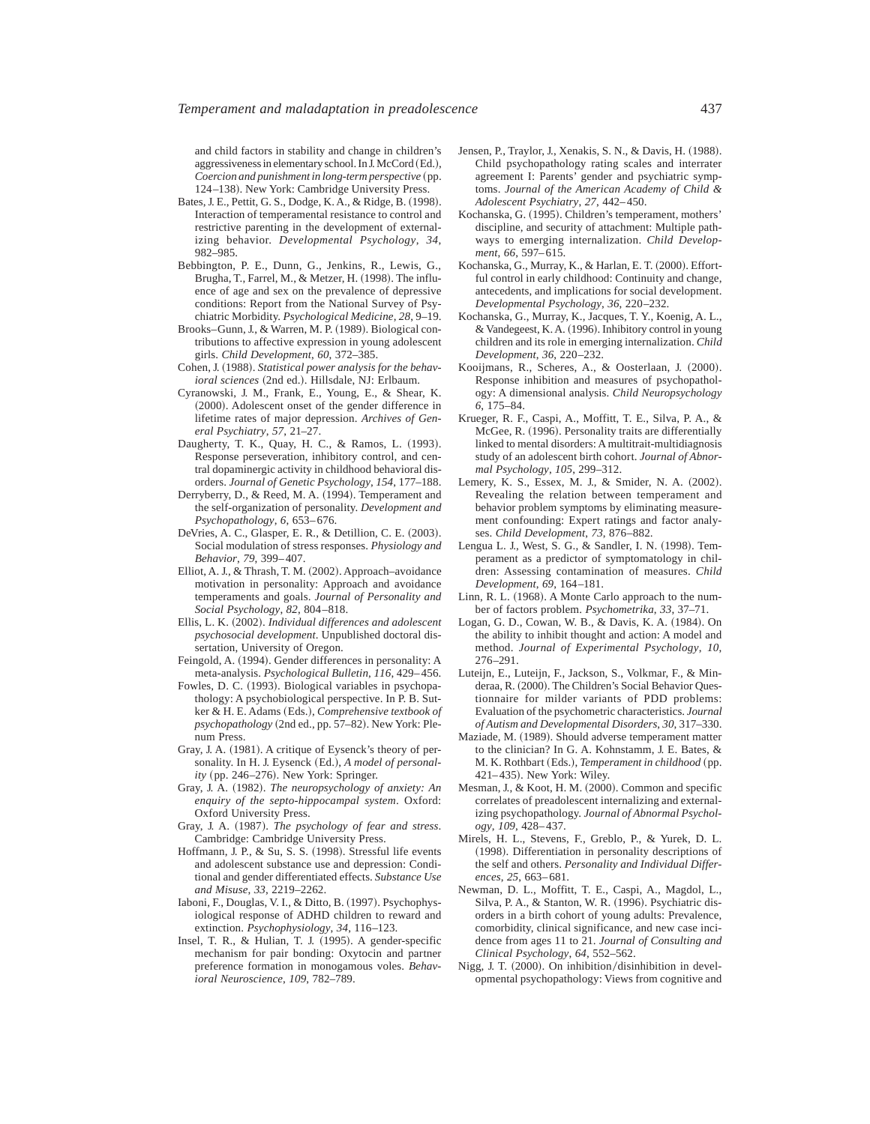and child factors in stability and change in children's aggressiveness in elementary school. In J. McCord  $(Ed.)$ ,  $Coercion$  and punishment in long-term perspective (pp. 124–138). New York: Cambridge University Press.

- Bates, J. E., Pettit, G. S., Dodge, K. A., & Ridge, B. (1998). Interaction of temperamental resistance to control and restrictive parenting in the development of externalizing behavior. *Developmental Psychology*, *34*, 982–985.
- Bebbington, P. E., Dunn, G., Jenkins, R., Lewis, G., Brugha, T., Farrel, M., & Metzer, H. (1998). The influence of age and sex on the prevalence of depressive conditions: Report from the National Survey of Psychiatric Morbidity. *Psychological Medicine*, *28*, 9–19.
- Brooks-Gunn, J., & Warren, M. P. (1989). Biological contributions to affective expression in young adolescent girls. *Child Development*, *60*, 372–385.
- Cohen, J. (1988). *Statistical power analysis for the behav*ioral sciences (2nd ed.). Hillsdale, NJ: Erlbaum.
- Cyranowski, J. M., Frank, E., Young, E., & Shear, K. (2000). Adolescent onset of the gender difference in lifetime rates of major depression. *Archives of General Psychiatry*, *57*, 21–27.
- Daugherty, T. K., Quay, H. C., & Ramos, L. (1993). Response perseveration, inhibitory control, and central dopaminergic activity in childhood behavioral disorders. *Journal of Genetic Psychology*, *154*, 177–188.
- Derryberry, D., & Reed, M. A. (1994). Temperament and the self-organization of personality. *Development and Psychopathology*, *6*, 653–676.
- DeVries, A. C., Glasper, E. R., & Detillion, C. E. (2003). Social modulation of stress responses. *Physiology and Behavior*, *79*, 399–407.
- Elliot, A. J., & Thrash, T. M. (2002). Approach–avoidance motivation in personality: Approach and avoidance temperaments and goals. *Journal of Personality and Social Psychology*, *82*, 804–818.
- Ellis, L. K. (2002). *Individual differences and adolescent psychosocial development*. Unpublished doctoral dissertation, University of Oregon.
- Feingold, A. (1994). Gender differences in personality: A meta-analysis. *Psychological Bulletin*, *116*, 429–456.
- Fowles, D. C. (1993). Biological variables in psychopathology: A psychobiological perspective. In P. B. Sutker & H. E. Adams (Eds.), *Comprehensive textbook of psychopathology* (2nd ed., pp. 57–82). New York: Plenum Press.
- Gray, J. A. (1981). A critique of Eysenck's theory of personality. In H. J. Eysenck (Ed.), *A model of personal* $ity$  (pp. 246–276). New York: Springer.
- Gray, J. A. (1982). *The neuropsychology of anxiety: An enquiry of the septo-hippocampal system*. Oxford: Oxford University Press.
- Gray, J. A. (1987). *The psychology of fear and stress*. Cambridge: Cambridge University Press.
- Hoffmann, J. P., & Su, S. S. (1998). Stressful life events and adolescent substance use and depression: Conditional and gender differentiated effects. *Substance Use and Misuse*, *33*, 2219–2262.
- Iaboni, F., Douglas, V. I., & Ditto, B. (1997). Psychophysiological response of ADHD children to reward and extinction. *Psychophysiology*, *34*, 116–123.
- Insel, T. R., & Hulian, T. J. (1995). A gender-specific mechanism for pair bonding: Oxytocin and partner preference formation in monogamous voles. *Behavioral Neuroscience*, *109*, 782–789.
- Jensen, P., Traylor, J., Xenakis, S. N., & Davis, H. (1988). Child psychopathology rating scales and interrater agreement I: Parents' gender and psychiatric symptoms. *Journal of the American Academy of Child & Adolescent Psychiatry*, *27*, 442–450.
- Kochanska, G. (1995). Children's temperament, mothers' discipline, and security of attachment: Multiple pathways to emerging internalization. *Child Development*, *66*, 597– 615.
- Kochanska, G., Murray, K., & Harlan, E. T. (2000). Effortful control in early childhood: Continuity and change, antecedents, and implications for social development. *Developmental Psychology*, *36*, 220–232.
- Kochanska, G., Murray, K., Jacques, T. Y., Koenig, A. L., & Vandegeest, K.A. (1996). Inhibitory control in young children and its role in emerging internalization. *Child Development*, *36*, 220–232.
- Kooijmans, R., Scheres, A., & Oosterlaan, J. (2000). Response inhibition and measures of psychopathology: A dimensional analysis. *Child Neuropsychology 6*, 175–84.
- Krueger, R. F., Caspi, A., Moffitt, T. E., Silva, P. A., & McGee, R. (1996). Personality traits are differentially linked to mental disorders: A multitrait-multidiagnosis study of an adolescent birth cohort. *Journal of Abnormal Psychology*, *105*, 299–312.
- Lemery, K. S., Essex, M. J., & Smider, N. A. (2002). Revealing the relation between temperament and behavior problem symptoms by eliminating measurement confounding: Expert ratings and factor analyses. *Child Development*, *73*, 876–882.
- Lengua L. J., West, S. G., & Sandler, I. N. (1998). Temperament as a predictor of symptomatology in children: Assessing contamination of measures. *Child Development*, *69*, 164–181.
- Linn, R. L. (1968). A Monte Carlo approach to the number of factors problem. *Psychometrika*, *33*, 37–71.
- Logan, G. D., Cowan, W. B., & Davis, K. A. (1984). On the ability to inhibit thought and action: A model and method. *Journal of Experimental Psychology*, *10*, 276–291.
- Luteijn, E., Luteijn, F., Jackson, S., Volkmar, F., & Minderaa, R. (2000). The Children's Social Behavior Questionnaire for milder variants of PDD problems: Evaluation of the psychometric characteristics. *Journal of Autism and Developmental Disorders*, *30*, 317–330.
- Maziade, M. (1989). Should adverse temperament matter to the clinician? In G. A. Kohnstamm, J. E. Bates, & M. K. Rothbart (Eds.), *Temperament in childhood* (pp. 421-435). New York: Wiley.
- Mesman, J., & Koot, H. M. (2000). Common and specific correlates of preadolescent internalizing and externalizing psychopathology. *Journal of Abnormal Psychology*, *109*, 428–437.
- Mirels, H. L., Stevens, F., Greblo, P., & Yurek, D. L. (1998). Differentiation in personality descriptions of the self and others. *Personality and Individual Differences*, *25*, 663–681.
- Newman, D. L., Moffitt, T. E., Caspi, A., Magdol, L., Silva, P. A., & Stanton, W. R. (1996). Psychiatric disorders in a birth cohort of young adults: Prevalence, comorbidity, clinical significance, and new case incidence from ages 11 to 21. *Journal of Consulting and Clinical Psychology*, *64*, 552–562.
- Nigg, J. T. (2000). On inhibition/disinhibition in developmental psychopathology: Views from cognitive and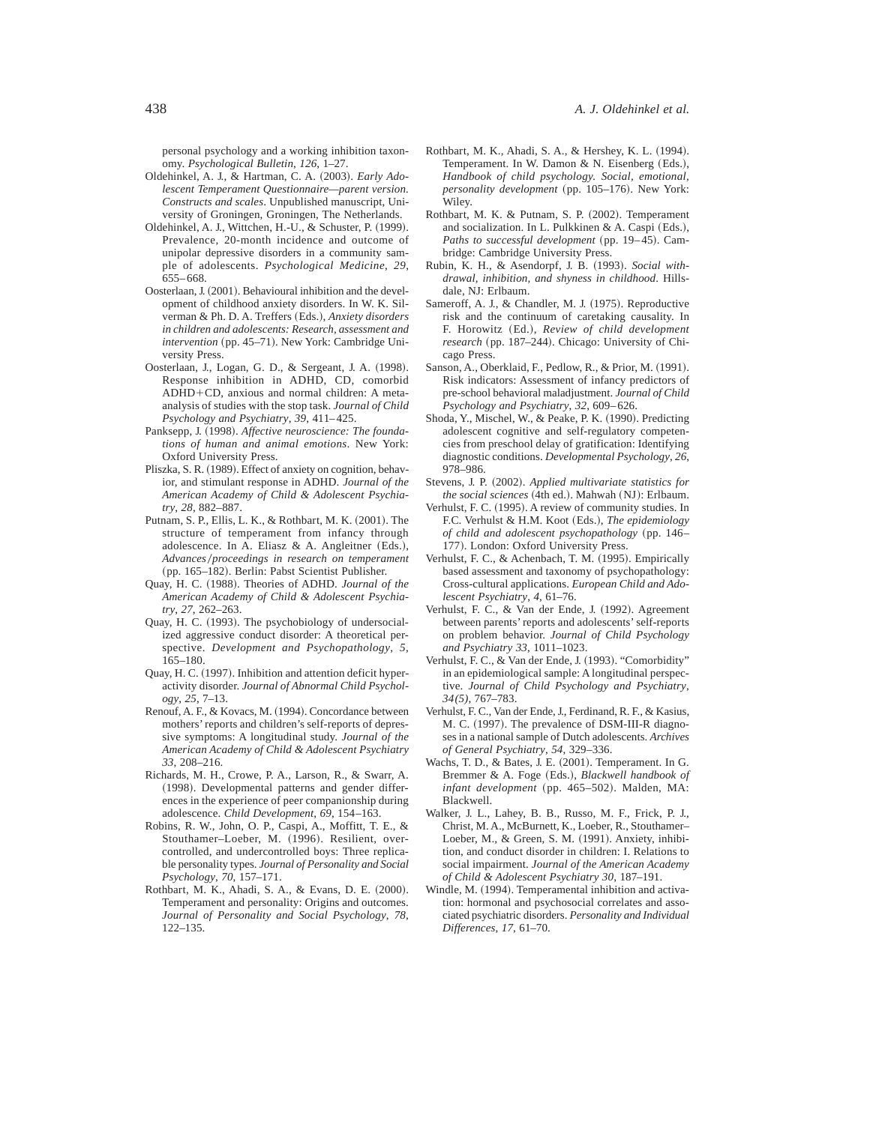personal psychology and a working inhibition taxonomy. *Psychological Bulletin*, *126*, 1–27.

- Oldehinkel, A. J., & Hartman, C. A. (2003). *Early Adolescent Temperament Questionnaire—parent version. Constructs and scales*. Unpublished manuscript, University of Groningen, Groningen, The Netherlands.
- Oldehinkel, A. J., Wittchen, H.-U., & Schuster, P. (1999). Prevalence, 20-month incidence and outcome of unipolar depressive disorders in a community sample of adolescents. *Psychological Medicine*, *29*, 655–668.
- Oosterlaan, J. (2001). Behavioural inhibition and the development of childhood anxiety disorders. In W. K. Silverman & Ph. D. A. Treffers (Eds.), *Anxiety disorders in children and adolescents: Research, assessment and intervention* (pp. 45–71). New York: Cambridge University Press.
- Oosterlaan, J., Logan, G. D., & Sergeant, J. A. (1998). Response inhibition in ADHD, CD, comorbid ADHD+CD, anxious and normal children: A metaanalysis of studies with the stop task. *Journal of Child Psychology and Psychiatry*, *39*, 411– 425.
- Panksepp, J. (1998). Affective neuroscience: The founda*tions of human and animal emotions*. New York: Oxford University Press.
- Pliszka, S. R. (1989). Effect of anxiety on cognition, behavior, and stimulant response in ADHD. *Journal of the American Academy of Child & Adolescent Psychiatry*, *28*, 882–887.
- Putnam, S. P., Ellis, L. K., & Rothbart, M. K. (2001). The structure of temperament from infancy through adolescence. In A. Eliasz & A. Angleitner  $(Eds.),$ *Advances*/*proceedings in research on temperament* (pp. 165–182). Berlin: Pabst Scientist Publisher.
- Quay, H. C. (1988). Theories of ADHD. *Journal of the American Academy of Child & Adolescent Psychiatry*, *27*, 262–263.
- Quay, H. C. (1993). The psychobiology of undersocialized aggressive conduct disorder: A theoretical perspective. *Development and Psychopathology*, *5*, 165–180.
- Quay, H. C. (1997). Inhibition and attention deficit hyperactivity disorder. *Journal of Abnormal Child Psychology*, *25*, 7–13.
- Renouf, A. F., & Kovacs, M. (1994). Concordance between mothers' reports and children's self-reports of depressive symptoms: A longitudinal study. *Journal of the American Academy of Child & Adolescent Psychiatry 33*, 208–216.
- Richards, M. H., Crowe, P. A., Larson, R., & Swarr, A. (1998). Developmental patterns and gender differences in the experience of peer companionship during adolescence. *Child Development*, *69*, 154–163.
- Robins, R. W., John, O. P., Caspi, A., Moffitt, T. E., & Stouthamer-Loeber, M. (1996). Resilient, overcontrolled, and undercontrolled boys: Three replicable personality types. *Journal of Personality and Social Psychology*, *70*, 157–171.
- Rothbart, M. K., Ahadi, S. A., & Evans, D. E. (2000). Temperament and personality: Origins and outcomes. *Journal of Personality and Social Psychology*, *78*, 122–135.
- Rothbart, M. K., Ahadi, S. A., & Hershey, K. L. (1994). Temperament. In W. Damon  $& N$ . Eisenberg (Eds.), *Handbook of child psychology. Social, emotional, personality development* (pp. 105–176). New York: Wiley.
- Rothbart, M. K. & Putnam, S. P. (2002). Temperament and socialization. In L. Pulkkinen & A. Caspi (Eds.), *Paths to successful development* (pp. 19–45). Cambridge: Cambridge University Press.
- Rubin, K. H., & Asendorpf, J. B. ~1993!. *Social withdrawal, inhibition, and shyness in childhood*. Hillsdale, NJ: Erlbaum.
- Sameroff, A. J., & Chandler, M. J. (1975). Reproductive risk and the continuum of caretaking causality. In F. Horowitz (Ed.), *Review of child development* research (pp. 187-244). Chicago: University of Chicago Press.
- Sanson, A., Oberklaid, F., Pedlow, R., & Prior, M. (1991). Risk indicators: Assessment of infancy predictors of pre-school behavioral maladjustment. *Journal of Child Psychology and Psychiatry*, *32*, 609–626.
- Shoda, Y., Mischel, W., & Peake, P. K. (1990). Predicting adolescent cognitive and self-regulatory competencies from preschool delay of gratification: Identifying diagnostic conditions. *Developmental Psychology*, *26*, 978–986.
- Stevens, J. P. (2002). *Applied multivariate statistics for the social sciences* (4th ed.). Mahwah (NJ): Erlbaum.
- Verhulst, F. C. (1995). A review of community studies. In F.C. Verhulst & H.M. Koot (Eds.), *The epidemiology* of child and adolescent psychopathology (pp. 146– 177). London: Oxford University Press.
- Verhulst, F. C., & Achenbach, T. M. (1995). Empirically based assessment and taxonomy of psychopathology: Cross-cultural applications. *European Child and Adolescent Psychiatry*, *4*, 61–76.
- Verhulst, F. C., & Van der Ende, J. (1992). Agreement between parents' reports and adolescents' self-reports on problem behavior. *Journal of Child Psychology and Psychiatry 33*, 1011–1023.
- Verhulst, F. C., & Van der Ende, J. (1993). "Comorbidity" in an epidemiological sample: A longitudinal perspective. *Journal of Child Psychology and Psychiatry*, *34(5)*, 767–783.
- Verhulst, F. C., Van der Ende, J., Ferdinand, R. F., & Kasius, M. C. (1997). The prevalence of DSM-III-R diagnoses in a national sample of Dutch adolescents. *Archives of General Psychiatry*, *54*, 329–336.
- Wachs, T. D., & Bates, J. E. (2001). Temperament. In G. Bremmer & A. Foge (Eds.), *Blackwell handbook of infant development* (pp. 465–502). Malden, MA: Blackwell.
- Walker, J. L., Lahey, B. B., Russo, M. F., Frick, P. J., Christ, M. A., McBurnett, K., Loeber, R., Stouthamer– Loeber, M., & Green, S. M. (1991). Anxiety, inhibition, and conduct disorder in children: I. Relations to social impairment. *Journal of the American Academy of Child & Adolescent Psychiatry 30*, 187–191.
- Windle, M. (1994). Temperamental inhibition and activation: hormonal and psychosocial correlates and associated psychiatric disorders. *Personality and Individual Differences*, *17*, 61–70.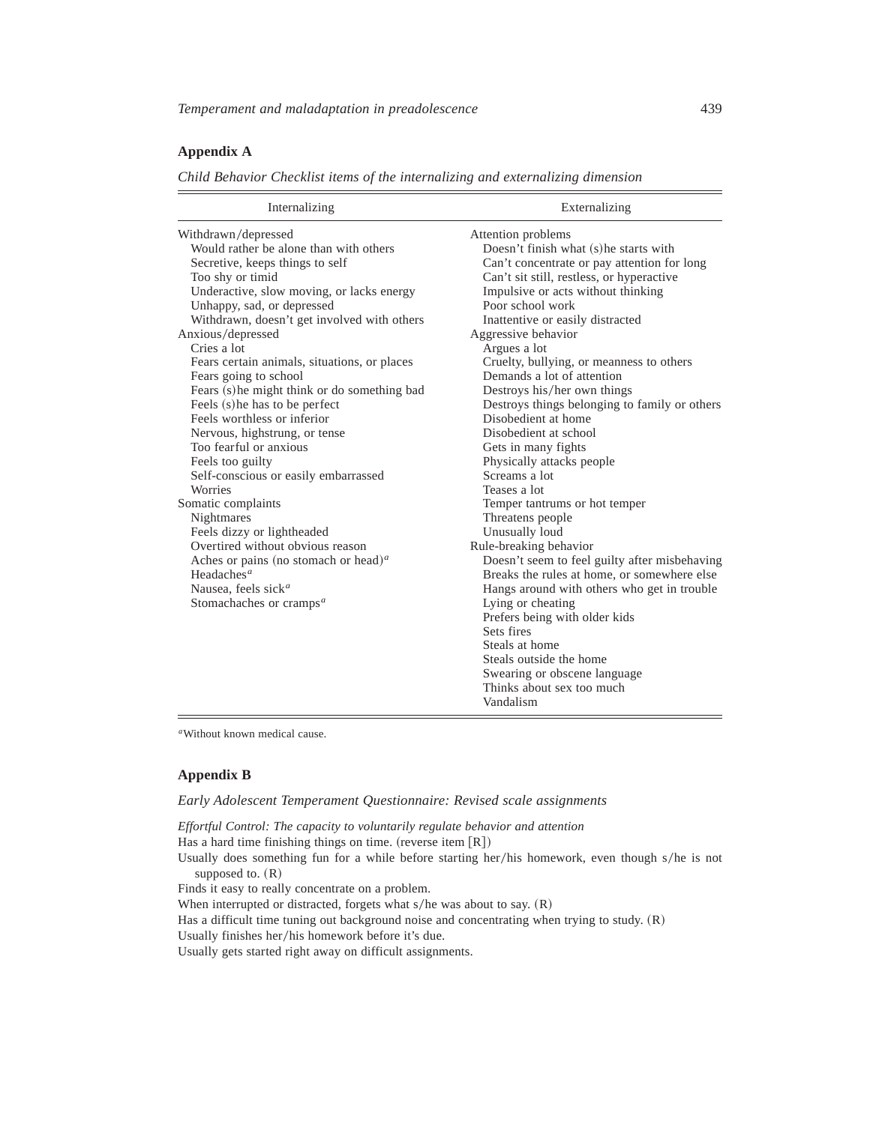# **Appendix A**

*Child Behavior Checklist items of the internalizing and externalizing dimension*

| Internalizing                                                                                                                                                                                                                                                                                                                                                                                                                                                                                                                                                                                                                                                                                                                                                                                                                                                                                       | Externalizing                                                                                                                                                                                                                                                                                                                                                                                                                                                                                                                                                                                                                                                                                                                                                                                                                                                                                                                                                                                                                           |  |  |
|-----------------------------------------------------------------------------------------------------------------------------------------------------------------------------------------------------------------------------------------------------------------------------------------------------------------------------------------------------------------------------------------------------------------------------------------------------------------------------------------------------------------------------------------------------------------------------------------------------------------------------------------------------------------------------------------------------------------------------------------------------------------------------------------------------------------------------------------------------------------------------------------------------|-----------------------------------------------------------------------------------------------------------------------------------------------------------------------------------------------------------------------------------------------------------------------------------------------------------------------------------------------------------------------------------------------------------------------------------------------------------------------------------------------------------------------------------------------------------------------------------------------------------------------------------------------------------------------------------------------------------------------------------------------------------------------------------------------------------------------------------------------------------------------------------------------------------------------------------------------------------------------------------------------------------------------------------------|--|--|
| Withdrawn/depressed<br>Would rather be alone than with others<br>Secretive, keeps things to self<br>Too shy or timid<br>Underactive, slow moving, or lacks energy<br>Unhappy, sad, or depressed<br>Withdrawn, doesn't get involved with others<br>Anxious/depressed<br>Cries a lot<br>Fears certain animals, situations, or places<br>Fears going to school<br>Fears (s) he might think or do something bad<br>Feels (s) he has to be perfect<br>Feels worthless or inferior<br>Nervous, highstrung, or tense<br>Too fearful or anxious<br>Feels too guilty<br>Self-conscious or easily embarrassed<br>Worries<br>Somatic complaints<br>Nightmares<br>Feels dizzy or lightheaded<br>Overtired without obvious reason<br>Aches or pains (no stomach or head) <sup><i>a</i></sup><br>Headaches <sup>a</sup><br>Nausea, feels sick <sup>a</sup><br>Stomachaches or $c$ ramps <sup><math>a</math></sup> | Attention problems<br>Doesn't finish what (s) he starts with<br>Can't concentrate or pay attention for long<br>Can't sit still, restless, or hyperactive<br>Impulsive or acts without thinking<br>Poor school work<br>Inattentive or easily distracted<br>Aggressive behavior<br>Argues a lot<br>Cruelty, bullying, or meanness to others<br>Demands a lot of attention<br>Destroys his/her own things<br>Destroys things belonging to family or others<br>Disobedient at home<br>Disobedient at school<br>Gets in many fights<br>Physically attacks people<br>Screams a lot<br>Teases a lot<br>Temper tantrums or hot temper<br>Threatens people<br>Unusually loud<br>Rule-breaking behavior<br>Doesn't seem to feel guilty after misbehaving<br>Breaks the rules at home, or somewhere else<br>Hangs around with others who get in trouble<br>Lying or cheating<br>Prefers being with older kids<br>Sets fires<br>Steals at home<br>Steals outside the home<br>Swearing or obscene language<br>Thinks about sex too much<br>Vandalism |  |  |

*<sup>a</sup>*Without known medical cause.

#### **Appendix B**

*Early Adolescent Temperament Questionnaire: Revised scale assignments*

*Effortful Control: The capacity to voluntarily regulate behavior and attention*

Has a hard time finishing things on time. (reverse item  $[R]$ )

Usually does something fun for a while before starting her/his homework, even though s/he is not supposed to.  $(R)$ 

Finds it easy to really concentrate on a problem.

When interrupted or distracted, forgets what  $s/he$  was about to say.  $(R)$ 

Has a difficult time tuning out background noise and concentrating when trying to study.  $(R)$ 

Usually finishes her/his homework before it's due.

Usually gets started right away on difficult assignments.